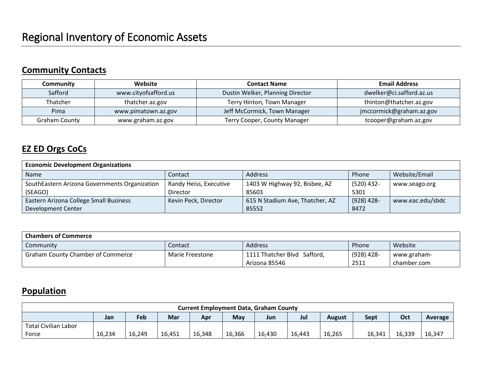# **Community Contacts**

| Community     | Website              | <b>Contact Name</b>              | <b>Email Address</b>     |
|---------------|----------------------|----------------------------------|--------------------------|
| Safford       | www.cityofsafford.us | Dustin Welker, Planning Director | dwelker@ci.safford.az.us |
| Thatcher      | thatcher.az.gov      | Terry Hinton, Town Manager       | thinton@thatcher.az.gov  |
| Pima          | www.pimatown.az.gov  | Jeff McCormick, Town Manager     | jmccormick@graham.az.gov |
| Graham County | www.graham.az.gov    | Terry Cooper, County Manager     | tcooper@graham.az.gov    |

## **EZ ED Orgs CoCs**

| <b>Economic Development Organizations</b>     |                        |                                 |              |                  |  |  |  |  |  |  |
|-----------------------------------------------|------------------------|---------------------------------|--------------|------------------|--|--|--|--|--|--|
| <b>Name</b>                                   | Contact                | <b>Address</b>                  | Phone        | Website/Email    |  |  |  |  |  |  |
| SouthEastern Arizona Governments Organization | Randy Heiss, Executive | 1403 W Highway 92, Bisbee, AZ   | $(520)$ 432- | www.seago.org    |  |  |  |  |  |  |
| (SEAGO)                                       | Director               | 85603                           | 5301         |                  |  |  |  |  |  |  |
| Eastern Arizona College Small Business        | Kevin Peck, Director   | 615 N Stadium Ave, Thatcher, AZ | $(928)$ 428- | www.eac.edu/sbdc |  |  |  |  |  |  |
| Development Center                            |                        | 85552                           | 8472         |                  |  |  |  |  |  |  |

| <b>Chambers of Commerce</b>              |                 |                             |              |             |  |  |  |  |  |  |
|------------------------------------------|-----------------|-----------------------------|--------------|-------------|--|--|--|--|--|--|
| Community                                | Contact         | <b>Address</b>              | Phone        | Website     |  |  |  |  |  |  |
| <b>Graham County Chamber of Commerce</b> | Marie Freestone | 1111 Thatcher Blvd Safford, | $(928)$ 428- | www.graham- |  |  |  |  |  |  |
|                                          |                 | Arizona 85546               | 2511         | chamber.com |  |  |  |  |  |  |

## **Population**

| <b>Current Employment Data, Graham County</b> |        |        |            |        |            |        |        |        |        |        |         |
|-----------------------------------------------|--------|--------|------------|--------|------------|--------|--------|--------|--------|--------|---------|
|                                               | Jan    | Feb    | <b>Mar</b> | Apr    | <b>May</b> | Jun    | Jul    | August | Sept   | Oct    | Average |
| <b>Total Civilian Labor</b>                   |        |        |            |        |            |        |        |        |        |        |         |
| Force                                         | 16,234 | 16,249 | 16,451     | 16,348 | 16,366     | 16,430 | 16,443 | 16,265 | 16,341 | 16,339 | 16,347  |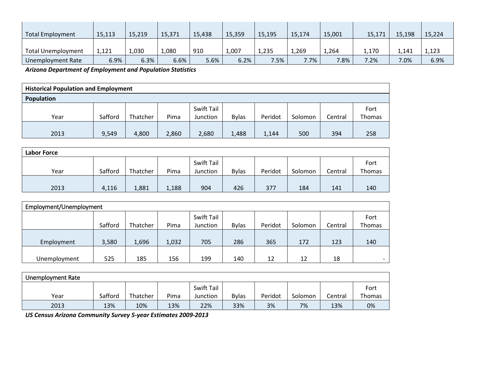| <b>Total Employment</b>   | 15,113  | 15,219 | 15,371 | 15,438 | 15,359  | 15,195 | 15,174 | 15,001 | 15,171  | 15,198 | 15,224 |
|---------------------------|---------|--------|--------|--------|---------|--------|--------|--------|---------|--------|--------|
| <b>Total Unemployment</b> | 1,121   | 1,030  | 1,080  | 910    | 1,007   | 1,235  | 1,269  | 1,264  | 1,170   | 1,141  | 1,123  |
| Unemployment Rate         | $6.9\%$ | 6.3%   | 6.6%   | 5.6%   | $6.2\%$ | 7.5%   | 7.7%   | 7.8%   | $7.2\%$ | 7.0%   | 6.9%   |

*Arizona Department of Employment and Population Statistics*

| <b>Historical Population and Employment</b> |         |          |       |                        |              |         |         |         |                |  |
|---------------------------------------------|---------|----------|-------|------------------------|--------------|---------|---------|---------|----------------|--|
| Population                                  |         |          |       |                        |              |         |         |         |                |  |
| Year                                        | Safford | Thatcher | Pima  | Swift Tail<br>Junction | <b>Bylas</b> | Peridot | Solomon | Central | Fort<br>Thomas |  |
| 2013                                        | 9,549   | 4,800    | 2,860 | 2,680                  | 1,488        | 1,144   | 500     | 394     | 258            |  |

| <b>Labor Force</b> |         |          |       |            |              |         |         |         |        |  |  |  |
|--------------------|---------|----------|-------|------------|--------------|---------|---------|---------|--------|--|--|--|
|                    |         |          |       | Swift Tail |              |         |         |         | Fort   |  |  |  |
| Year               | Safford | Thatcher | Pima  | Junction   | <b>Bylas</b> | Peridot | Solomon | Central | Thomas |  |  |  |
|                    |         |          |       |            |              |         |         |         |        |  |  |  |
| 2013               | 4,116   | 1,881    | 1,188 | 904        | 426          | 377     | 184     | 141     | 140    |  |  |  |

| Employment/Unemployment |         |          |       |            |              |         |         |         |        |  |  |
|-------------------------|---------|----------|-------|------------|--------------|---------|---------|---------|--------|--|--|
|                         |         |          |       | Swift Tail |              |         |         |         | Fort   |  |  |
|                         | Safford | Thatcher | Pima  | Junction   | <b>Bylas</b> | Peridot | Solomon | Central | Thomas |  |  |
|                         |         |          |       |            |              |         |         |         |        |  |  |
| Employment              | 3,580   | 1,696    | 1,032 | 705        | 286          | 365     | 172     | 123     | 140    |  |  |
|                         |         |          |       |            |              |         |         |         |        |  |  |
| Unemployment            | 525     | 185      | 156   | 199        | 140          | 12      | 12      | 18      | $-$    |  |  |

| Unemployment Rate |         |          |      |                   |              |         |         |         |        |
|-------------------|---------|----------|------|-------------------|--------------|---------|---------|---------|--------|
|                   |         |          |      | <b>Swift Tail</b> |              |         |         |         | Fort   |
| Year              | Safford | Thatcher | Pima | Junction          | <b>Bylas</b> | Peridot | Solomon | Central | Thomas |
| 2013              | 13%     | 10%      | 13%  | 22%               | 33%          | 3%      | 7%      | 13%     | 0%     |

*US Census Arizona Community Survey 5-year Estimates 2009-2013*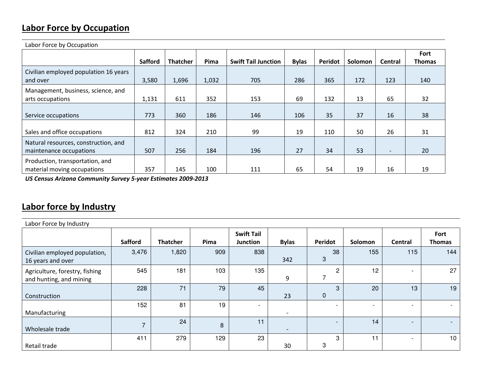## **Labor Force by Occupation**

| Labor Force by Occupation                                       |                |                 |       |                            |              |         |         |                          |               |  |  |  |
|-----------------------------------------------------------------|----------------|-----------------|-------|----------------------------|--------------|---------|---------|--------------------------|---------------|--|--|--|
|                                                                 |                |                 |       |                            |              |         |         |                          | Fort          |  |  |  |
|                                                                 | <b>Safford</b> | <b>Thatcher</b> | Pima  | <b>Swift Tail Junction</b> | <b>Bylas</b> | Peridot | Solomon | Central                  | <b>Thomas</b> |  |  |  |
| Civilian employed population 16 years<br>and over               | 3,580          | 1,696           | 1,032 | 705                        | 286          | 365     | 172     | 123                      | 140           |  |  |  |
|                                                                 |                |                 |       |                            |              |         |         |                          |               |  |  |  |
| Management, business, science, and<br>arts occupations          | 1,131          | 611             | 352   | 153                        | 69           | 132     | 13      | 65                       | 32            |  |  |  |
| Service occupations                                             | 773            | 360             | 186   | 146                        | 106          | 35      | 37      | 16                       | 38            |  |  |  |
| Sales and office occupations                                    | 812            | 324             | 210   | 99                         | 19           | 110     | 50      | 26                       | 31            |  |  |  |
| Natural resources, construction, and<br>maintenance occupations | 507            | 256             | 184   | 196                        | 27           | 34      | 53      | $\overline{\phantom{0}}$ | 20            |  |  |  |
| Production, transportation, and<br>material moving occupations  | 357            | 145             | 100   | 111                        | 65           | 54      | 19      | 16                       | 19            |  |  |  |

*US Census Arizona Community Survey 5-year Estimates 2009-2013*

# **Labor force by Industry**

| Labor Force by Industry                                   |                |                 |      |                                      |                          |                          |                          |                          |                       |  |  |  |
|-----------------------------------------------------------|----------------|-----------------|------|--------------------------------------|--------------------------|--------------------------|--------------------------|--------------------------|-----------------------|--|--|--|
|                                                           | <b>Safford</b> | <b>Thatcher</b> | Pima | <b>Swift Tail</b><br><b>Junction</b> | <b>Bylas</b>             | Peridot                  | Solomon                  | Central                  | Fort<br><b>Thomas</b> |  |  |  |
| Civilian employed population,<br>16 years and over        | 3,476          | 1,820           | 909  | 838                                  | 342                      | 38<br>$\mathbf{3}$       | 155                      | 115                      | 144                   |  |  |  |
| Agriculture, forestry, fishing<br>and hunting, and mining | 545            | 181             | 103  | 135                                  | 9                        | $\overline{\phantom{0}}$ | 12                       | $\overline{\phantom{a}}$ | 27                    |  |  |  |
| Construction                                              | 228            | 71              | 79   | 45                                   | 23                       | 3<br>$\mathbf 0$         | 20                       | 13                       | 19                    |  |  |  |
| Manufacturing                                             | 152            | 81              | 19   | $\overline{ }$                       | $\overline{\phantom{a}}$ | $\overline{\phantom{0}}$ | $\overline{\phantom{0}}$ | $\overline{\phantom{a}}$ |                       |  |  |  |
| Wholesale trade                                           | $\overline{7}$ | 24              | 8    | 11                                   | $\qquad \qquad$          | $\overline{\phantom{0}}$ | 14                       | $\overline{\phantom{0}}$ |                       |  |  |  |
| Retail trade                                              | 411            | 279             | 129  | 23                                   | 30                       | 3<br>3                   | 11                       | $\overline{\phantom{0}}$ | 10                    |  |  |  |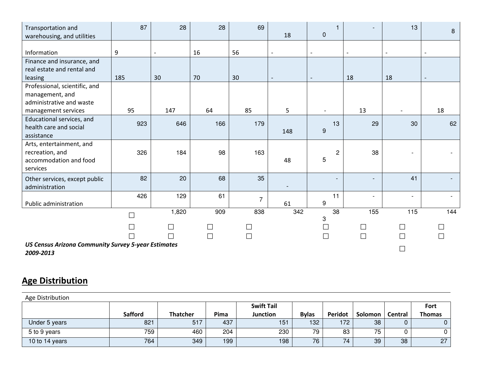| Transportation and<br>warehousing, and utilities                        | 87               | 28     | 28                          | 69                          | 18                       | $\mathbf 0$                     |                          | 13                           | $\bf 8$                  |
|-------------------------------------------------------------------------|------------------|--------|-----------------------------|-----------------------------|--------------------------|---------------------------------|--------------------------|------------------------------|--------------------------|
|                                                                         |                  |        |                             |                             |                          |                                 |                          |                              |                          |
| Information                                                             | $\boldsymbol{9}$ |        | 16                          | 56                          |                          |                                 |                          |                              | $\overline{\phantom{a}}$ |
| Finance and insurance, and                                              |                  |        |                             |                             |                          |                                 |                          |                              |                          |
| real estate and rental and                                              |                  |        |                             |                             |                          |                                 |                          |                              |                          |
| leasing                                                                 | 185              | 30     | 70                          | 30                          |                          | $\overline{\phantom{a}}$        | 18                       | 18                           | $\overline{\phantom{a}}$ |
| Professional, scientific, and                                           |                  |        |                             |                             |                          |                                 |                          |                              |                          |
| management, and                                                         |                  |        |                             |                             |                          |                                 |                          |                              |                          |
| administrative and waste                                                |                  |        |                             |                             |                          |                                 |                          |                              |                          |
| management services                                                     | 95               | 147    | 64                          | 85                          | 5                        | $\overline{\phantom{a}}$        | 13                       | $\overline{\phantom{a}}$     | 18                       |
| Educational services, and                                               | 923              | 646    | 166                         | 179                         |                          | 13                              | 29                       | 30                           | 62                       |
| health care and social                                                  |                  |        |                             |                             | 148                      | $\overline{9}$                  |                          |                              |                          |
| assistance                                                              |                  |        |                             |                             |                          |                                 |                          |                              |                          |
| Arts, entertainment, and                                                |                  |        |                             |                             |                          |                                 |                          |                              |                          |
| recreation, and                                                         | 326              | 184    | 98                          | 163                         |                          | $\overline{c}$<br>5             | 38                       |                              |                          |
| accommodation and food<br>services                                      |                  |        |                             |                             | 48                       |                                 |                          |                              |                          |
|                                                                         |                  |        |                             |                             |                          |                                 |                          |                              |                          |
| Other services, except public                                           | 82               | 20     | 68                          | 35                          |                          |                                 |                          | 41                           |                          |
| administration                                                          |                  |        |                             |                             | $\overline{\phantom{a}}$ |                                 |                          |                              |                          |
|                                                                         | 426              | 129    | 61                          | $\overline{7}$              |                          | 11                              | $\overline{\phantom{a}}$ | $\qquad \qquad \blacksquare$ |                          |
| Public administration                                                   |                  |        |                             |                             | 61                       | $\boldsymbol{9}$                | 155                      | 115                          | 144                      |
|                                                                         | $\Box$           | 1,820  | 909                         | 838                         | 342                      | 38<br>$\ensuremath{\mathsf{3}}$ |                          |                              |                          |
|                                                                         | $\Box$           | $\Box$ | $\mathcal{L}_{\mathcal{A}}$ | $\mathcal{L}_{\mathcal{A}}$ |                          | $\Box$                          | $\Box$                   | ப                            |                          |
|                                                                         |                  | П      | $\Box$                      | $\Box$                      |                          | $\Box$                          | $\Box$                   |                              |                          |
| <b>US Census Arizona Community Survey 5-year Estimates</b><br>2009-2013 |                  |        |                             |                             |                          |                                 |                          |                              |                          |

# **Age Distribution**

| Age Distribution |                |                 |      |                   |              |         |         |         |               |
|------------------|----------------|-----------------|------|-------------------|--------------|---------|---------|---------|---------------|
|                  |                |                 |      | <b>Swift Tail</b> |              |         |         |         | Fort          |
|                  | <b>Safford</b> | <b>Thatcher</b> | Pima | <b>Junction</b>   | <b>Bylas</b> | Peridot | Solomon | Central | <b>Thomas</b> |
| Under 5 years    | 821            | 517             | 437  | 151               | 132          | 172     | 38      |         | $\mathbf{0}$  |
| 5 to 9 years     | 759            | 460             | 204  | 230               | 79           | 83      | 75      |         | 0             |
| 10 to 14 years   | 764            | 349             | 199  | 198               | 76           | 74      | 39      | 38      | 27            |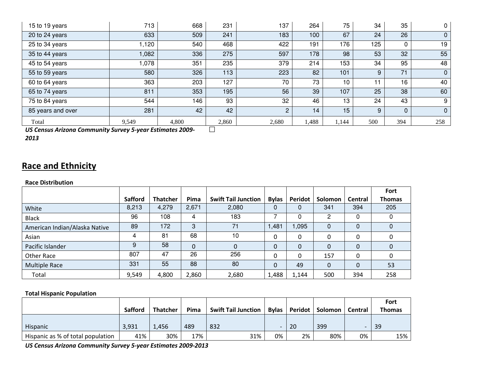| 15 to 19 years                                            | 713   | 668   | 231   | 137            | 264   | 75    | 34  | 35  | $\mathbf 0$    |
|-----------------------------------------------------------|-------|-------|-------|----------------|-------|-------|-----|-----|----------------|
| 20 to 24 years                                            | 633   | 509   | 241   | 183            | 100   | 67    | 24  | 26  | $\overline{0}$ |
| 25 to 34 years                                            | 1,120 | 540   | 468   | 422            | 191   | 176   | 125 |     | 19             |
| 35 to 44 years                                            | 1,082 | 336   | 275   | 597            | 178   | 98    | 53  | 32  | 55             |
| 45 to 54 years                                            | 1,078 | 351   | 235   | 379            | 214   | 153   | 34  | 95  | 48             |
| 55 to 59 years                                            | 580   | 326   | 113   | 223            | 82    | 101   | 9   | 71  | $\mathbf 0$    |
| 60 to 64 years                                            | 363   | 203   | 127   | 70             | 73    | 10    | 11  | 16  | 40             |
| 65 to 74 years                                            | 811   | 353   | 195   | 56             | 39    | 107   | 25  | 38  | 60             |
| 75 to 84 years                                            | 544   | 146   | 93    | 32             | 46    | 13    | 24  | 43  | 9              |
| 85 years and over                                         | 281   | 42    | 42    | $\overline{2}$ | 14    | 15    | 9   |     | $\mathbf 0$    |
| Total                                                     | 9,549 | 4,800 | 2,860 | 2,680          | 1,488 | 1,144 | 500 | 394 | 258            |
| US Census Arizona Community Survey 5-year Estimates 2009- |       |       |       |                |       |       |     |     |                |

*US Census Arizona Community Survey 5-year Estimates 2009-*

*2013*

## **Race and Ethnicity**

#### **Race Distribution**

|                               |                |                 |          |                            |              |          |              |          | <b>Fort</b>   |
|-------------------------------|----------------|-----------------|----------|----------------------------|--------------|----------|--------------|----------|---------------|
|                               | <b>Safford</b> | <b>Thatcher</b> | Pima     | <b>Swift Tail Junction</b> | <b>Bylas</b> | Peridot  | Solomon      | Central  | <b>Thomas</b> |
| White                         | 8,213          | 4,279           | 2,671    | 2,080                      |              | 0        | 341          | 394      | 205           |
| <b>Black</b>                  | 96             | 108             | 4        | 183                        |              | 0        | 2            |          |               |
| American Indian/Alaska Native | 89             | 172             | 3        | 71                         | 1,481        | .095     | 0            | $\Omega$ | 0             |
| Asian                         | 4              | 81              | 68       | 10                         |              | 0        | $\Omega$     |          | $\Omega$      |
| Pacific Islander              | 9              | 58              | $\Omega$ | 0                          | $\Omega$     | $\Omega$ | $\mathbf{0}$ | $\Omega$ | $\mathbf{0}$  |
| <b>Other Race</b>             | 807            | 47              | 26       | 256                        | 0            | 0        | 157          | $\Omega$ | $\Omega$      |
| <b>Multiple Race</b>          | 331            | 55              | 88       | 80                         | $\Omega$     | 49       | $\mathbf 0$  | $\Omega$ | 53            |
| Total                         | 9,549          | 4,800           | 2,860    | 2,680                      | 1,488        | 1,144    | 500          | 394      | 258           |

### **Total Hispanic Population**

|                                   |                |                 |      |                            |              |    |                   |         | Fort          |
|-----------------------------------|----------------|-----------------|------|----------------------------|--------------|----|-------------------|---------|---------------|
|                                   | <b>Safford</b> | <b>Thatcher</b> | Pima | <b>Swift Tail Junction</b> | <b>Bylas</b> |    | Peridot   Solomon | Central | <b>Thomas</b> |
|                                   |                |                 |      |                            |              |    |                   |         |               |
| Hispanic                          | 3,931          | 1,456           | 489  | 832                        |              | 20 | 399               |         | 39            |
| Hispanic as % of total population | 41%            | 30%             | 17%  | 31%                        | 0%           | 2% | 80%               | 0%      | 15%           |

*US Census Arizona Community Survey 5-year Estimates 2009-2013*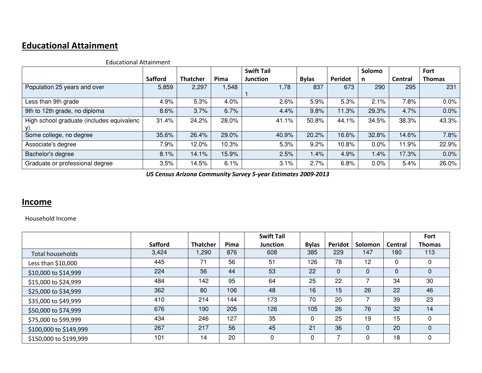## **Educational Attainment**

|                                           |                |                 |       | <b>Swift Tail</b> |              |                | Solomo |                | <b>Fort</b>   |
|-------------------------------------------|----------------|-----------------|-------|-------------------|--------------|----------------|--------|----------------|---------------|
|                                           | <b>Safford</b> | <b>Thatcher</b> | Pima  | <b>Junction</b>   | <b>Bylas</b> | <b>Peridot</b> | n      | <b>Central</b> | <b>Thomas</b> |
| Population 25 years and over              | 5,859          | 2,297           | 1,548 | 1,78              | 837          | 673            | 290    | 295            | 231           |
| Less than 9th grade                       | 4.9%           | 5.3%            | 4.0%  | 2.6%              | 5.9%         | 5.3%           | 2.1%   | 7.8%           | 0.0%          |
| 9th to 12th grade, no diploma             | 8.6%           | 3.7%            | 6.7%  | 4.4%              | 9.8%         | 11.3%          | 29.3%  | 4.7%           | 0.0%          |
| High school graduate (includes equivalenc | 31.4%          | 24.2%           | 28.0% | 41.1%             | 50.8%        | 44.1%          | 34.5%  | 38.3%          | 43.3%         |
| Some college, no degree                   | 35.6%          | 26.4%           | 29.0% | 40.9%             | 20.2%        | 16.6%          | 32.8%  | 14.6%          | 7.8%          |
| Associate's degree                        | 7.9%           | 12.0%           | 10.3% | 5.3%              | 9.2%         | 10.8%          | 0.0%   | 11.9%          | 22.9%         |
| Bachelor's degree                         | 8.1%           | 14.1%           | 15.9% | 2.5%              | $1.4\%$      | 4.9%           | 1.4%   | 17.3%          | 0.0%          |
| Graduate or professional degree           | 3.5%           | 14.5%           | 6.1%  | 3.1%              | 2.7%         | 6.8%           | 0.0%   | 5.4%           | 26.0%         |

Educational Attainment

*US Census Arizona Community Survey 5-year Estimates 2009-2013*

### **Income**

Household Income

|                        |                |                 |      | <b>Swift Tail</b> |              |             |          |          | Fort          |
|------------------------|----------------|-----------------|------|-------------------|--------------|-------------|----------|----------|---------------|
|                        | <b>Safford</b> | <b>Thatcher</b> | Pima | <b>Junction</b>   | <b>Bylas</b> | Peridot     | Solomon  | Central  | <b>Thomas</b> |
| Total households       | 3,424          | 1,290           | 876  | 608               | 385          | 229         | 147      | 180      | 113           |
| Less than \$10,000     | 445            | 71              | 56   | 51                | 126          | 78          | 12       | 0        | 0             |
| \$10,000 to \$14,999   | 224            | 56              | 44   | 53                | 22           | $\mathbf 0$ | $\Omega$ | $\Omega$ | 0             |
| \$15,000 to \$24,999   | 484            | 142             | 95   | 64                | 25           | 22          |          | 34       | 30            |
| \$25,000 to \$34,999   | 362            | 80              | 106  | 48                | 16           | 15          | 26       | 22       | 46            |
| \$35,000 to \$49,999   | 410            | 214             | 144  | 173               | 70           | 20          |          | 39       | 23            |
| \$50,000 to \$74,999   | 676            | 190             | 205  | 126               | 105          | 26          | 76       | 32       | 14            |
| \$75,000 to \$99,999   | 434            | 246             | 127  | 35                | 0            | 25          | 19       | 15       | 0             |
| \$100,000 to \$149,999 | 267            | 217             | 56   | 45                | 21           | 36          | $\Omega$ | 20       | $\Omega$      |
| \$150,000 to \$199,999 | 101            | 14              | 20   | 0                 | 0            | 7           | 0        | 18       | 0             |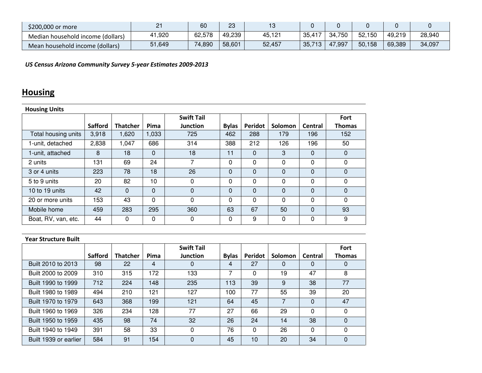| \$200,000 or more                 | _      | 60     | ററ<br>دت | ╵┙     |              |            |        |        |        |
|-----------------------------------|--------|--------|----------|--------|--------------|------------|--------|--------|--------|
| Median household income (dollars) | +1,920 | 62,578 | 49,239   | 45,121 | $135,41^{-}$ | 750<br>34. | 52,150 | 49,219 | 28,940 |
| Mean household income (dollars)   | 51,649 | 74,890 | 58,601   | 52,457 | 35,713       | 47,997     | 50,158 | 69,389 | 34,097 |

*US Census Arizona Community Survey 5-year Estimates 2009-2013*

# **Housing**

| <b>Housing Units</b> |                |                 |             |                   |              |                |          |                |               |  |  |  |  |
|----------------------|----------------|-----------------|-------------|-------------------|--------------|----------------|----------|----------------|---------------|--|--|--|--|
|                      |                |                 |             | <b>Swift Tail</b> |              |                |          |                | Fort          |  |  |  |  |
|                      | <b>Safford</b> | <b>Thatcher</b> | Pima        | <b>Junction</b>   | <b>Bylas</b> | <b>Peridot</b> | Solomon  | <b>Central</b> | <b>Thomas</b> |  |  |  |  |
| Total housing units  | 3,918          | 1,620           | 1,033       | 725               | 462          | 288            | 179      | 196            | 152           |  |  |  |  |
| 1-unit, detached     | 2,838          | 1,047           | 686         | 314               | 388          | 212            | 126      | 196            | 50            |  |  |  |  |
| 1-unit, attached     | 8              | 18              | $\mathbf 0$ | 18                | 11           | 0              | 3        | 0              | $\mathbf 0$   |  |  |  |  |
| 2 units              | 131            | 69              | 24          | 7                 | 0            | 0              | $\Omega$ | 0              | $\Omega$      |  |  |  |  |
| 3 or 4 units         | 223            | 78              | 18          | 26                | $\Omega$     | $\mathbf{0}$   | $\Omega$ | 0              | $\mathbf 0$   |  |  |  |  |
| 5 to 9 units         | 20             | 82              | 10          | 0                 | 0            | 0              | $\Omega$ | 0              | 0             |  |  |  |  |
| 10 to 19 units       | 42             | $\Omega$        | 0           | $\Omega$          | $\Omega$     | 0              | $\Omega$ | 0              | $\Omega$      |  |  |  |  |
| 20 or more units     | 153            | 43              | 0           | 0                 | $\Omega$     | 0              | $\Omega$ | 0              | $\Omega$      |  |  |  |  |
| Mobile home          | 459            | 283             | 295         | 360               | 63           | 67             | 50       | 0              | 93            |  |  |  |  |
| Boat, RV, van, etc.  | 44             | 0               | 0           | 0                 | 0            | 9              | $\Omega$ | 0              | 9             |  |  |  |  |

| <b>Year Structure Built</b> |                |                 |      |                   |              |                |                |                |               |
|-----------------------------|----------------|-----------------|------|-------------------|--------------|----------------|----------------|----------------|---------------|
|                             |                |                 |      | <b>Swift Tail</b> |              |                |                |                | Fort          |
|                             | <b>Safford</b> | <b>Thatcher</b> | Pima | <b>Junction</b>   | <b>Bylas</b> | <b>Peridot</b> | <b>Solomon</b> | <b>Central</b> | <b>Thomas</b> |
| Built 2010 to 2013          | 98             | 22              | 4    | 0                 | 4            | 27             | 0              | 0              | 0             |
| Built 2000 to 2009          | 310            | 315             | 172  | 133               |              | 0              | 19             | 47             | 8             |
| Built 1990 to 1999          | 712            | 224             | 148  | 235               | 113          | 39             | 9              | 38             | 77            |
| Built 1980 to 1989          | 494            | 210             | 121  | 127               | 100          | 77             | 55             | 39             | 20            |
| Built 1970 to 1979          | 643            | 368             | 199  | 121               | 64           | 45             |                | $\Omega$       | 47            |
| Built 1960 to 1969          | 326            | 234             | 128  | 77                | 27           | 66             | 29             | $\Omega$       | 0             |
| Built 1950 to 1959          | 435            | 98              | 74   | 32                | 26           | 24             | 14             | 38             | 0             |
| Built 1940 to 1949          | 391            | 58              | 33   | 0                 | 76           | 0              | 26             | $\Omega$       | 0             |
| Built 1939 or earlier       | 584            | 91              | 154  | $\Omega$          | 45           | 10             | 20             | 34             | 0             |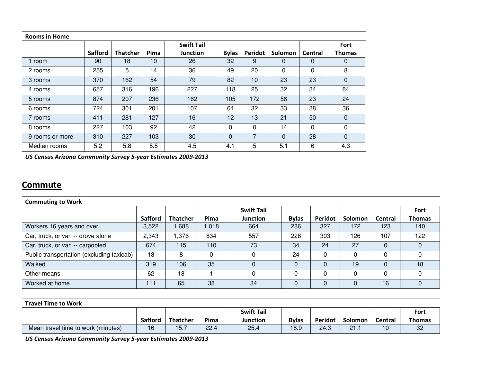| <b>Rooms in Home</b> |                |                 |      |                   |              |              |              |         |               |
|----------------------|----------------|-----------------|------|-------------------|--------------|--------------|--------------|---------|---------------|
|                      |                |                 |      | <b>Swift Tail</b> |              |              |              |         | Fort          |
|                      | <b>Safford</b> | <b>Thatcher</b> | Pima | <b>Junction</b>   | <b>Bylas</b> | Peridot      | Solomon      | Central | <b>Thomas</b> |
| 1 room               | 90             | 18              | 10   | 26                | 32           | 9            | 0            | 0       | 0             |
| 2 rooms              | 255            | 5               | 14   | 36                | 49           | 20           | $\mathbf{0}$ | 0       | 8             |
| 3 rooms              | 370            | 162             | 54   | 79                | 82           | 10           | 23           | 23      | 0             |
| 4 rooms              | 657            | 316             | 196  | 227               | 18           | 25           | 32           | 34      | 84            |
| 5 rooms              | 874            | 207             | 236  | 162               | 105          | 172          | 56           | 23      | 24            |
| 6 rooms              | 724            | 301             | 201  | 107               | 64           | 32           | 33           | 38      | 36            |
| 7 rooms              | 411            | 281             | 127  | 16                | 12           | 13           | 21           | 50      | $\mathbf 0$   |
| 8 rooms              | 227            | 103             | 92   | 42                | 0            | $\mathbf{0}$ | 14           | 0       | 0             |
| 9 rooms or more      | 310            | 227             | 103  | 30                | $\Omega$     | 7            | $\Omega$     | 28      | $\mathbf 0$   |
| Median rooms         | 5.2            | 5.8             | 5.5  | 4.5               | 4.1          | 5            | 5.1          | 6       | 4.3           |

*US Census Arizona Community Survey 5-year Estimates 2009-2013*

### **Commute**

| <b>Commuting to Work</b>                  |                |                 |       |                   |              |         |         |                |               |  |  |  |  |
|-------------------------------------------|----------------|-----------------|-------|-------------------|--------------|---------|---------|----------------|---------------|--|--|--|--|
|                                           |                |                 |       | <b>Swift Tail</b> |              |         |         |                | Fort          |  |  |  |  |
|                                           | <b>Safford</b> | <b>Thatcher</b> | Pima  | Junction          | <b>Bylas</b> | Peridot | Solomon | <b>Central</b> | <b>Thomas</b> |  |  |  |  |
| Workers 16 years and over                 | 3,522          | 1,688           | 1,018 | 664               | 286          | 327     | 172     | 123            | 140           |  |  |  |  |
| Car, truck, or van -- drove alone         | 2,343          | 1,376           | 834   | 557               | 228          | 303     | 126     | 107            | 122           |  |  |  |  |
| Car, truck, or van -- carpooled           | 674            | 115             | 110   | 73                | 34           | 24      | 27      |                |               |  |  |  |  |
| Public transportation (excluding taxicab) | 13             | 8               |       |                   | 24           |         |         |                |               |  |  |  |  |
| Walked                                    | 319            | 106             | 35    |                   |              |         | 19      |                | 18            |  |  |  |  |
| Other means                               | 62             | 18              |       |                   |              | ∩       | 0       |                |               |  |  |  |  |
| Worked at home                            | 111            | 65              | 38    | 34                |              |         | 0       | 16             | 0             |  |  |  |  |

**Travel Time to Work**

|                                    |                |                 |      | <b>Swift Tail</b> |              |         |                   |         | Fort   |
|------------------------------------|----------------|-----------------|------|-------------------|--------------|---------|-------------------|---------|--------|
|                                    | <b>Safford</b> | <b>Thatcher</b> | Pima | Junction          | <b>Bylas</b> | Peridot | Solomon           | Central | Thomas |
| Mean travel time to work (minutes) | 16             | 15.7            | 22.4 | 25.4              | 18.9         | 24.3    | つ1<br><b>41.I</b> | 10      | 32     |

*US Census Arizona Community Survey 5-year Estimates 2009-2013*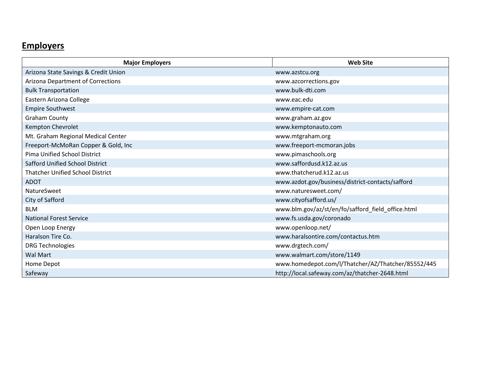# **Employers**

| <b>Major Employers</b>                  | <b>Web Site</b>                                    |  |
|-----------------------------------------|----------------------------------------------------|--|
| Arizona State Savings & Credit Union    | www.azstcu.org                                     |  |
| Arizona Department of Corrections       | www.azcorrections.gov                              |  |
| <b>Bulk Transportation</b>              | www.bulk-dti.com                                   |  |
| Eastern Arizona College                 | www.eac.edu                                        |  |
| <b>Empire Southwest</b>                 | www.empire-cat.com                                 |  |
| <b>Graham County</b>                    | www.graham.az.gov                                  |  |
| Kempton Chevrolet                       | www.kemptonauto.com                                |  |
| Mt. Graham Regional Medical Center      | www.mtgraham.org                                   |  |
| Freeport-McMoRan Copper & Gold, Inc     | www.freeport-mcmoran.jobs                          |  |
| <b>Pima Unified School District</b>     | www.pimaschools.org                                |  |
| <b>Safford Unified School District</b>  | www.saffordusd.k12.az.us                           |  |
| <b>Thatcher Unified School District</b> | www.thatcherud.k12.az.us                           |  |
| <b>ADOT</b>                             | www.azdot.gov/business/district-contacts/safford   |  |
| NatureSweet                             | www.naturesweet.com/                               |  |
| City of Safford                         | www.cityofsafford.us/                              |  |
| <b>BLM</b>                              | www.blm.gov/az/st/en/fo/safford_field_office.html  |  |
| <b>National Forest Service</b>          | www.fs.usda.gov/coronado                           |  |
| Open Loop Energy                        | www.openloop.net/                                  |  |
| Haralson Tire Co.                       | www.haralsontire.com/contactus.htm                 |  |
| <b>DRG Technologies</b>                 | www.drgtech.com/                                   |  |
| <b>Wal Mart</b>                         | www.walmart.com/store/1149                         |  |
| Home Depot                              | www.homedepot.com/l/Thatcher/AZ/Thatcher/85552/445 |  |
| Safeway                                 | http://local.safeway.com/az/thatcher-2648.html     |  |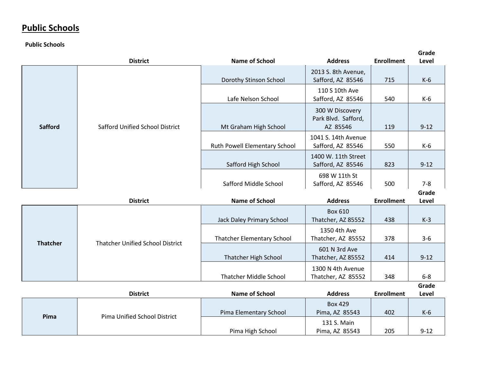## **Public Schools**

**Public Schools**

|                 | <b>District</b>                                        | <b>Name of School</b>                                          | <b>Address</b>                                           | <b>Enrollment</b>        | Grade<br>Level   |
|-----------------|--------------------------------------------------------|----------------------------------------------------------------|----------------------------------------------------------|--------------------------|------------------|
|                 |                                                        | Dorothy Stinson School                                         | 2013 S. 8th Avenue,<br>Safford, AZ 85546                 | 715                      | $K-6$            |
|                 |                                                        | Lafe Nelson School                                             | 110 S 10th Ave<br>Safford, AZ 85546                      | 540                      | $K-6$            |
| <b>Safford</b>  | <b>Safford Unified School District</b>                 | Mt Graham High School                                          | 300 W Discovery<br>Park Blvd. Safford,<br>AZ 85546       | 119                      | $9 - 12$         |
|                 |                                                        | Ruth Powell Elementary School                                  | 1041 S. 14th Avenue<br>Safford, AZ 85546                 | 550                      | $K-6$            |
|                 |                                                        | Safford High School                                            | 1400 W. 11th Street<br>Safford, AZ 85546                 | 823                      | $9 - 12$         |
|                 |                                                        | Safford Middle School                                          | 698 W 11th St<br>Safford, AZ 85546                       | 500                      | $7 - 8$          |
|                 |                                                        |                                                                |                                                          |                          |                  |
|                 |                                                        |                                                                |                                                          |                          | Grade            |
|                 | <b>District</b>                                        | <b>Name of School</b>                                          | <b>Address</b><br><b>Box 610</b>                         | <b>Enrollment</b>        | Level            |
|                 |                                                        | Jack Daley Primary School<br><b>Thatcher Elementary School</b> | Thatcher, AZ 85552<br>1350 4th Ave<br>Thatcher, AZ 85552 | 438<br>378               | $K-3$<br>$3 - 6$ |
| <b>Thatcher</b> | <b>Thatcher Unified School District</b>                | <b>Thatcher High School</b>                                    | 601 N 3rd Ave<br>Thatcher, AZ 85552                      | 414                      | $9 - 12$         |
|                 |                                                        | <b>Thatcher Middle School</b>                                  | 1300 N 4th Avenue<br>Thatcher, AZ 85552                  | 348                      | $6-8$            |
|                 |                                                        |                                                                |                                                          |                          | Grade            |
| Pima            | <b>District</b><br><b>Pima Unified School District</b> | <b>Name of School</b><br>Pima Elementary School                | <b>Address</b><br><b>Box 429</b><br>Pima, AZ 85543       | <b>Enrollment</b><br>402 | Level<br>$K-6$   |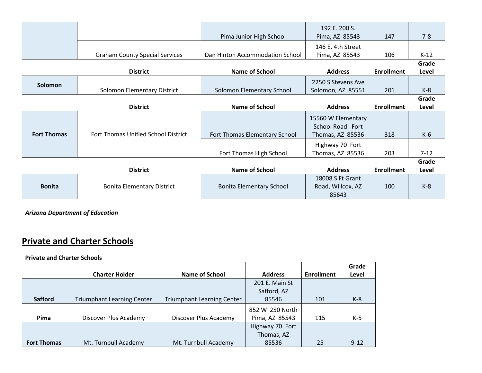|                    |                                       | Pima Junior High School         | 192 E. 200 S.<br>Pima, AZ 85543        | 147               | $7 - 8$  |
|--------------------|---------------------------------------|---------------------------------|----------------------------------------|-------------------|----------|
|                    |                                       |                                 | 146 E. 4th Street                      |                   |          |
|                    | <b>Graham County Special Services</b> | Dan Hinton Accommodation School | Pima, AZ 85543                         | 106               | $K-12$   |
|                    |                                       |                                 |                                        |                   | Grade    |
|                    | <b>District</b>                       | <b>Name of School</b>           | <b>Address</b>                         | <b>Enrollment</b> | Level    |
| Solomon            |                                       |                                 | 2250 S Stevens Ave                     |                   |          |
|                    | Solomon Elementary District           | Solomon Elementary School       | Solomon, AZ 85551                      | 201               | $K-8$    |
|                    |                                       |                                 |                                        |                   | Grade    |
|                    | <b>District</b>                       | <b>Name of School</b>           | <b>Address</b>                         | <b>Enrollment</b> | Level    |
|                    |                                       |                                 |                                        |                   |          |
|                    |                                       |                                 |                                        |                   |          |
|                    |                                       |                                 | 15560 W Elementary<br>School Road Fort |                   |          |
| <b>Fort Thomas</b> | Fort Thomas Unified School District   | Fort Thomas Elementary School   | Thomas, AZ 85536                       | 318               | $K-6$    |
|                    |                                       |                                 | Highway 70 Fort                        |                   |          |
|                    |                                       | Fort Thomas High School         | Thomas, AZ 85536                       | 203               | $7 - 12$ |
|                    |                                       |                                 |                                        |                   | Grade    |
|                    | <b>District</b>                       | <b>Name of School</b>           | <b>Address</b>                         | <b>Enrollment</b> | Level    |
|                    |                                       |                                 | 18008 S Ft Grant                       |                   |          |
| <b>Bonita</b>      | <b>Bonita Elementary District</b>     | <b>Bonita Elementary School</b> | Road, Willcox, AZ                      | 100               | $K-8$    |

*Arizona Department of Education*

## **Private and Charter Schools**

#### **Private and Charter Schools**

|                    |                                   |                                   |                 |                   | Grade    |
|--------------------|-----------------------------------|-----------------------------------|-----------------|-------------------|----------|
|                    | <b>Charter Holder</b>             | <b>Name of School</b>             | <b>Address</b>  | <b>Enrollment</b> | Level    |
|                    |                                   |                                   | 201 E. Main St  |                   |          |
|                    |                                   |                                   | Safford, AZ     |                   |          |
| <b>Safford</b>     | <b>Triumphant Learning Center</b> | <b>Triumphant Learning Center</b> | 85546           | 101               | $K-8$    |
|                    |                                   |                                   | 852 W 250 North |                   |          |
| Pima               | Discover Plus Academy             | Discover Plus Academy             | Pima, AZ 85543  | 115               | $K-5$    |
|                    |                                   |                                   | Highway 70 Fort |                   |          |
|                    |                                   |                                   | Thomas, AZ      |                   |          |
| <b>Fort Thomas</b> | Mt. Turnbull Academy              | Mt. Turnbull Academy              | 85536           | 25                | $9 - 12$ |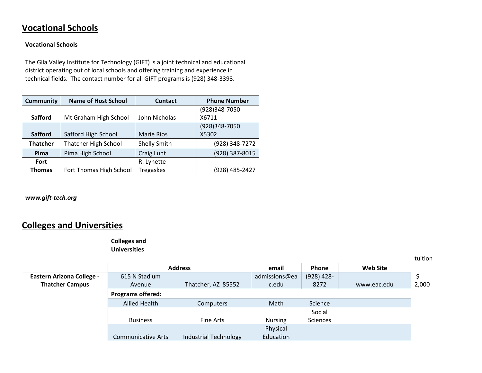## **Vocational Schools**

#### **Vocational Schools**

| The Gila Valley Institute for Technology (GIFT) is a joint technical and educational<br>district operating out of local schools and offering training and experience in<br>technical fields. The contact number for all GIFT programs is (928) 348-3393. |                             |                     |                     |  |
|----------------------------------------------------------------------------------------------------------------------------------------------------------------------------------------------------------------------------------------------------------|-----------------------------|---------------------|---------------------|--|
| Community                                                                                                                                                                                                                                                | <b>Name of Host School</b>  | <b>Contact</b>      | <b>Phone Number</b> |  |
|                                                                                                                                                                                                                                                          |                             |                     | (928)348-7050       |  |
| <b>Safford</b>                                                                                                                                                                                                                                           | Mt Graham High School       | John Nicholas       | X6711               |  |
|                                                                                                                                                                                                                                                          |                             |                     | (928)348-7050       |  |
| <b>Safford</b>                                                                                                                                                                                                                                           | Safford High School         | <b>Marie Rios</b>   | X5302               |  |
| <b>Thatcher</b>                                                                                                                                                                                                                                          | <b>Thatcher High School</b> | <b>Shelly Smith</b> | (928) 348-7272      |  |
| Pima                                                                                                                                                                                                                                                     | Pima High School            | Craig Lunt          | (928) 387-8015      |  |
| Fort                                                                                                                                                                                                                                                     |                             | R. Lynette          |                     |  |
| <b>Thomas</b>                                                                                                                                                                                                                                            | Fort Thomas High School     | <b>Tregaskes</b>    | (928) 485-2427      |  |

*[www.gift-tech.org](http://www.gift-tech.org/)*

# **Colleges and Universities**

**Colleges and Universities**

tuition

|                                  |                           | <b>Address</b>               | email         | Phone        | <b>Web Site</b> |       |
|----------------------------------|---------------------------|------------------------------|---------------|--------------|-----------------|-------|
| <b>Eastern Arizona College -</b> | 615 N Stadium             |                              | admissions@ea | $(928)$ 428- |                 |       |
| <b>Thatcher Campus</b>           | Avenue                    | Thatcher, AZ 85552           | c.edu         | 8272         | www.eac.edu     | 2,000 |
|                                  | <b>Programs offered:</b>  |                              |               |              |                 |       |
|                                  | <b>Allied Health</b>      | Computers                    | Math          | Science      |                 |       |
|                                  |                           |                              |               | Social       |                 |       |
|                                  | <b>Business</b>           | Fine Arts                    | Nursing       | Sciences     |                 |       |
|                                  |                           |                              | Physical      |              |                 |       |
|                                  | <b>Communicative Arts</b> | <b>Industrial Technology</b> | Education     |              |                 |       |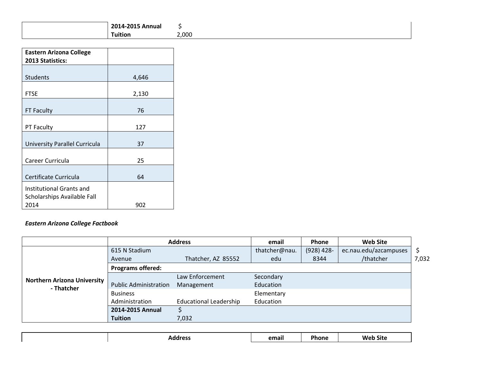| 2014-2015 Annual |       |
|------------------|-------|
| Tuition          | 2,000 |

| <b>Eastern Arizona College</b><br>2013 Statistics:              |       |
|-----------------------------------------------------------------|-------|
| <b>Students</b>                                                 | 4,646 |
| FTSE                                                            | 2,130 |
| FT Faculty                                                      | 76    |
| PT Faculty                                                      | 127   |
| University Parallel Curricula                                   | 37    |
| Career Curricula                                                | 25    |
| Certificate Curricula                                           | 64    |
| Institutional Grants and<br>Scholarships Available Fall<br>2014 | 902   |

### *Eastern Arizona College Factbook*

|                                    | <b>Address</b>               |                               | email         | <b>Phone</b> | <b>Web Site</b>       |       |
|------------------------------------|------------------------------|-------------------------------|---------------|--------------|-----------------------|-------|
|                                    | 615 N Stadium                |                               | thatcher@nau. | $(928)$ 428- | ec.nau.edu/azcampuses | S     |
|                                    | Avenue                       | Thatcher, AZ 85552            | edu           | 8344         | /thatcher             | 7,032 |
|                                    | <b>Programs offered:</b>     |                               |               |              |                       |       |
| <b>Northern Arizona University</b> |                              | Law Enforcement               | Secondary     |              |                       |       |
| - Thatcher                         | <b>Public Administration</b> | Management                    | Education     |              |                       |       |
|                                    | <b>Business</b>              |                               | Elementary    |              |                       |       |
|                                    | Administration               | <b>Educational Leadership</b> | Education     |              |                       |       |
|                                    | 2014-2015 Annual             |                               |               |              |                       |       |
|                                    | <b>Tuition</b>               | 7,032                         |               |              |                       |       |

| $\sim$ $\sim$ $\sim$<br>. | mail | -<br>. .<br>`ne⊹<br>_____ | <b>Site</b><br>. |
|---------------------------|------|---------------------------|------------------|
|                           |      |                           |                  |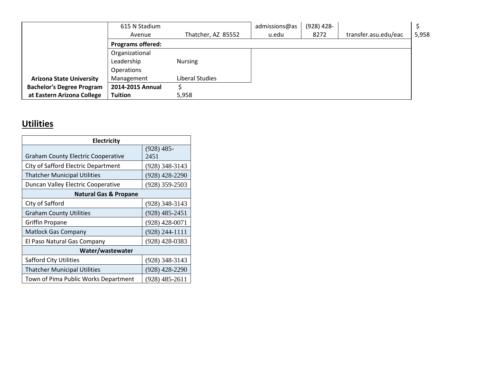|                                  | 615 N Stadium            |                    | admissions@as | $(928)$ 428- |                      |       |
|----------------------------------|--------------------------|--------------------|---------------|--------------|----------------------|-------|
|                                  | Avenue                   | Thatcher, AZ 85552 | u.edu         | 8272         | transfer.asu.edu/eac | 5,958 |
|                                  | <b>Programs offered:</b> |                    |               |              |                      |       |
|                                  | Organizational           |                    |               |              |                      |       |
|                                  | Leadership               | <b>Nursing</b>     |               |              |                      |       |
|                                  | <b>Operations</b>        |                    |               |              |                      |       |
| <b>Arizona State University</b>  | Management               | Liberal Studies    |               |              |                      |       |
| <b>Bachelor's Degree Program</b> | 2014-2015 Annual         |                    |               |              |                      |       |
| at Eastern Arizona College       | <b>Tuition</b>           | 5,958              |               |              |                      |       |

# **Utilities**

| <b>Electricity</b>                        |                      |
|-------------------------------------------|----------------------|
| <b>Graham County Electric Cooperative</b> | $(928)$ 485-<br>2451 |
| City of Safford Electric Department       | (928) 348-3143       |
| <b>Thatcher Municipal Utilities</b>       | (928) 428-2290       |
| Duncan Valley Electric Cooperative        | $(928)$ 359-2503     |
| <b>Natural Gas &amp; Propane</b>          |                      |
| City of Safford                           | $(928)$ 348-3143     |
| <b>Graham County Utilities</b>            | $(928)$ 485-2451     |
| <b>Griffin Propane</b>                    | $(928)$ 428-0071     |
| <b>Matlock Gas Company</b>                | (928) 244-1111       |
| El Paso Natural Gas Company               | (928) 428-0383       |
| Water/wastewater                          |                      |
| <b>Safford City Utilities</b>             | $(928)$ 348-3143     |
| <b>Thatcher Municipal Utilities</b>       | $(928)$ 428-2290     |
| Town of Pima Public Works Department      | (928) 485-2611       |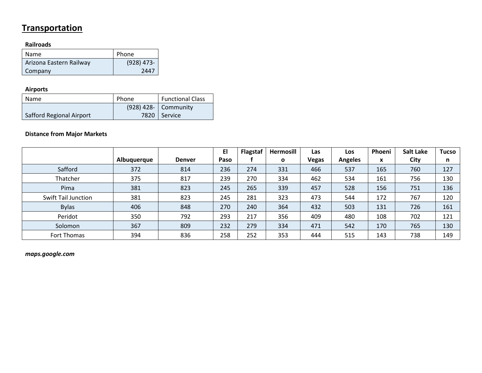## **Transportation**

### **Railroads**

| <b>Name</b>             | Phone        |
|-------------------------|--------------|
| Arizona Eastern Railway | $(928)$ 473- |
| Company                 | 2447         |

### **Airports**

| Name                     | Phone | <b>Functional Class</b> |
|--------------------------|-------|-------------------------|
|                          |       | $(928)$ 428- Community  |
| Safford Regional Airport |       | 7820   Service          |

### **Distance from Major Markets**

|                            |             |               | EI   | <b>Flagstaf</b> | Hermosill | Las          | Los            | Phoeni | <b>Salt Lake</b> | <b>Tucso</b> |
|----------------------------|-------------|---------------|------|-----------------|-----------|--------------|----------------|--------|------------------|--------------|
|                            | Albuquerque | <b>Denver</b> | Paso |                 | O         | <b>Vegas</b> | <b>Angeles</b> | X      | City             | n            |
| Safford                    | 372         | 814           | 236  | 274             | 331       | 466          | 537            | 165    | 760              | 127          |
| Thatcher                   | 375         | 817           | 239  | 270             | 334       | 462          | 534            | 161    | 756              | 130          |
| Pima                       | 381         | 823           | 245  | 265             | 339       | 457          | 528            | 156    | 751              | 136          |
| <b>Swift Tail Junction</b> | 381         | 823           | 245  | 281             | 323       | 473          | 544            | 172    | 767              | 120          |
| <b>Bylas</b>               | 406         | 848           | 270  | 240             | 364       | 432          | 503            | 131    | 726              | 161          |
| Peridot                    | 350         | 792           | 293  | 217             | 356       | 409          | 480            | 108    | 702              | 121          |
| Solomon                    | 367         | 809           | 232  | 279             | 334       | 471          | 542            | 170    | 765              | 130          |
| Fort Thomas                | 394         | 836           | 258  | 252             | 353       | 444          | 515            | 143    | 738              | 149          |

*maps.google.com*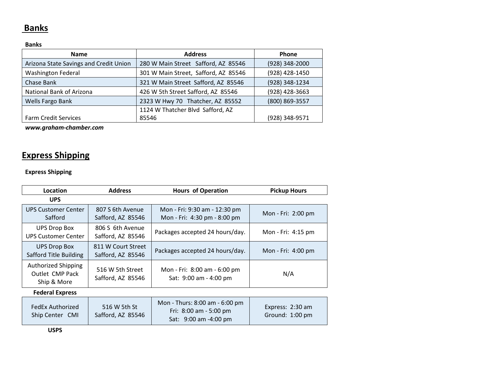### **Banks**

### **Banks**

| <b>Name</b>                            | <b>Address</b>                       | <b>Phone</b>   |
|----------------------------------------|--------------------------------------|----------------|
| Arizona State Savings and Credit Union | 280 W Main Street Safford, AZ 85546  | (928) 348-2000 |
| <b>Washington Federal</b>              | 301 W Main Street, Safford, AZ 85546 | (928) 428-1450 |
| Chase Bank                             | 321 W Main Street Safford, AZ 85546  | (928) 348-1234 |
| National Bank of Arizona               | 426 W 5th Street Safford, AZ 85546   | (928) 428-3663 |
| Wells Fargo Bank                       | 2323 W Hwy 70 Thatcher, AZ 85552     | (800) 869-3557 |
|                                        | 1124 W Thatcher Blvd Safford, AZ     |                |
| <b>Farm Credit Services</b>            | 85546                                | (928) 348-9571 |

*[www.graham-chamber.com](http://www.graham-chamber.com/)*

# **Express Shipping**

### **Express Shipping**

| Location                                                     | <b>Address</b>                          | <b>Hours of Operation</b>                                     | <b>Pickup Hours</b> |
|--------------------------------------------------------------|-----------------------------------------|---------------------------------------------------------------|---------------------|
| <b>UPS</b>                                                   |                                         |                                                               |                     |
| <b>UPS Customer Center</b><br>Safford                        | 807 S 6th Avenue<br>Safford, AZ 85546   | Mon - Fri: 9:30 am - 12:30 pm<br>Mon - Fri: 4:30 pm - 8:00 pm | Mon - Fri: 2:00 pm  |
| <b>UPS Drop Box</b><br><b>UPS Customer Center</b>            | 806 S 6th Avenue<br>Safford, AZ 85546   | Packages accepted 24 hours/day.                               | Mon - Fri: 4:15 pm  |
| <b>UPS Drop Box</b><br>Safford Title Building                | 811 W Court Street<br>Safford, AZ 85546 | Packages accepted 24 hours/day.                               | Mon - Fri: 4:00 pm  |
| <b>Authorized Shipping</b><br>Outlet CMP Pack<br>Ship & More | 516 W 5th Street<br>Safford, AZ 85546   | Mon - Fri: 8:00 am - 6:00 pm<br>Sat: 9:00 am - 4:00 pm        | N/A                 |
| <b>Federal Express</b>                                       |                                         |                                                               |                     |
|                                                              |                                         | $M$ on - Thurc $\cdot$ 8 $\cdot$ 00 am - 6 $\cdot$ 00 am      |                     |

| FedEx Authorized<br>Ship Center CMI | 516 W 5th St<br>Safford, AZ 85546 | Mon - Thurs: 8:00 am - 6:00 pm<br>Fri: $8:00$ am - 5:00 pm<br>Sat: 9:00 am -4:00 pm | Express: 2:30 am<br>Ground: $1:00 \text{ pm}$ |
|-------------------------------------|-----------------------------------|-------------------------------------------------------------------------------------|-----------------------------------------------|
|-------------------------------------|-----------------------------------|-------------------------------------------------------------------------------------|-----------------------------------------------|

**USPS**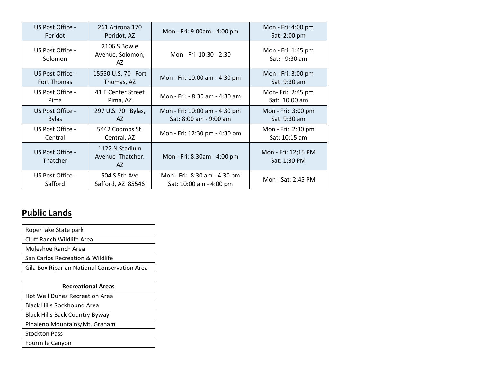| US Post Office -             | 261 Arizona 170                           | Mon - Fri: 9:00am - 4:00 pm    | Mon - Fri: 4:00 pm                   |
|------------------------------|-------------------------------------------|--------------------------------|--------------------------------------|
| Peridot                      | Peridot, AZ                               |                                | Sat: 2:00 pm                         |
| US Post Office -<br>Solomon  | 2106 S Bowie<br>Avenue, Solomon,<br>AZ    | Mon - Fri: 10:30 - 2:30        | Mon - Fri: 1:45 pm<br>Sat: - 9:30 am |
| US Post Office -             | 15550 U.S. 70 Fort                        | Mon - Fri: 10:00 am - 4:30 pm  | Mon - Fri: 3:00 pm                   |
| <b>Fort Thomas</b>           | Thomas, AZ                                |                                | Sat: 9:30 am                         |
| US Post Office -             | 41 E Center Street                        | Mon - Fri: - 8:30 am - 4:30 am | Mon- Fri: 2:45 pm                    |
| Pima                         | Pima, AZ                                  |                                | Sat: 10:00 am                        |
| US Post Office -             | 297 U.S. 70 Bylas,                        | Mon - Fri: 10:00 am - 4:30 pm  | Mon - Fri: 3:00 pm                   |
| <b>Bylas</b>                 | AZ.                                       | Sat: 8:00 am - 9:00 am         | Sat: 9:30 am                         |
| US Post Office -             | 5442 Coombs St.                           | Mon - Fri: 12:30 pm - 4:30 pm  | Mon - Fri: 2:30 pm                   |
| Central                      | Central, AZ                               |                                | Sat: 10:15 am                        |
| US Post Office -<br>Thatcher | 1122 N Stadium<br>Avenue Thatcher,<br>AZ. | Mon - Fri: 8:30am - 4:00 pm    | Mon - Fri: 12;15 PM<br>Sat: 1:30 PM  |
| US Post Office -             | 504 S 5th Ave                             | Mon - Fri: 8:30 am - 4:30 pm   | Mon - Sat: 2:45 PM                   |
| Safford                      | Safford, AZ 85546                         | Sat: 10:00 am - 4:00 pm        |                                      |

# **Public Lands**

| Roper lake State park                        |
|----------------------------------------------|
| Cluff Ranch Wildlife Area                    |
| Muleshoe Ranch Area                          |
| San Carlos Recreation & Wildlife             |
| Gila Box Riparian National Conservation Area |

| <b>Recreational Areas</b>             |  |  |  |
|---------------------------------------|--|--|--|
| <b>Hot Well Dunes Recreation Area</b> |  |  |  |
| <b>Black Hills Rockhound Area</b>     |  |  |  |
| <b>Black Hills Back Country Byway</b> |  |  |  |
| Pinaleno Mountains/Mt. Graham         |  |  |  |
| <b>Stockton Pass</b>                  |  |  |  |
| Fourmile Canyon                       |  |  |  |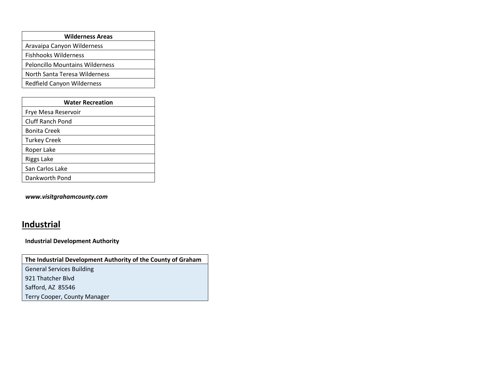| <b>Wilderness Areas</b>                |  |  |  |
|----------------------------------------|--|--|--|
| Aravaipa Canyon Wilderness             |  |  |  |
| <b>Fishhooks Wilderness</b>            |  |  |  |
| <b>Peloncillo Mountains Wilderness</b> |  |  |  |
| North Santa Teresa Wilderness          |  |  |  |
| <b>Redfield Canyon Wilderness</b>      |  |  |  |

| <b>Water Recreation</b> |  |  |
|-------------------------|--|--|
| Frye Mesa Reservoir     |  |  |
| Cluff Ranch Pond        |  |  |
| <b>Bonita Creek</b>     |  |  |
| <b>Turkey Creek</b>     |  |  |
| Roper Lake              |  |  |
| Riggs Lake              |  |  |
| San Carlos Lake         |  |  |
| Dankworth Pond          |  |  |

*[www.visitgrahamcounty.com](http://www.visitgrahamcounty.com/)*

### **Industrial**

**Industrial Development Authority**

**The Industrial Development Authority of the County of Graham**

General Services Building

921 Thatcher Blvd

Safford, AZ 85546

Terry Cooper, County Manager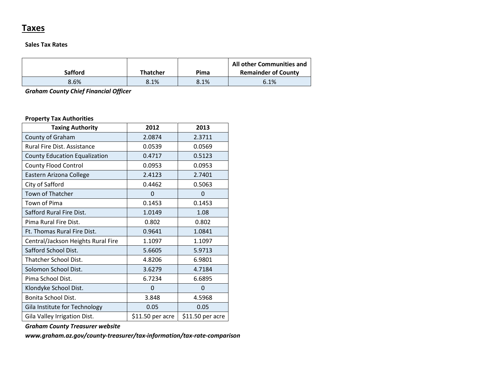### **Taxes**

#### **Sales Tax Rates**

| <b>Safford</b> | <b>Thatcher</b> | Pima | All other Communities and<br><b>Remainder of County</b> |
|----------------|-----------------|------|---------------------------------------------------------|
| 8.6%           | 8.1%            | 8.1% | 6.1%                                                    |

*Graham County Chief Financial Officer*

#### **Property Tax Authorities**

| <b>Taxing Authority</b>              | 2012             | 2013             |
|--------------------------------------|------------------|------------------|
| County of Graham                     | 2.0874           | 2.3711           |
| Rural Fire Dist. Assistance          | 0.0539           | 0.0569           |
| <b>County Education Equalization</b> | 0.4717           | 0.5123           |
| <b>County Flood Control</b>          | 0.0953           | 0.0953           |
| Eastern Arizona College              | 2.4123           | 2.7401           |
| City of Safford                      | 0.4462           | 0.5063           |
| Town of Thatcher                     | $\Omega$         | 0                |
| Town of Pima                         | 0.1453           | 0.1453           |
| Safford Rural Fire Dist.             | 1.0149           | 1.08             |
| Pima Rural Fire Dist.                | 0.802            | 0.802            |
| <b>Ft. Thomas Rural Fire Dist.</b>   | 0.9641           | 1.0841           |
| Central/Jackson Heights Rural Fire   | 1.1097           | 1.1097           |
| Safford School Dist.                 | 5.6605           | 5.9713           |
| Thatcher School Dist.                | 4.8206           | 6.9801           |
| Solomon School Dist.                 | 3.6279           | 4.7184           |
| Pima School Dist.                    | 6.7234           | 6.6895           |
| Klondyke School Dist.                | 0                | 0                |
| Bonita School Dist.                  | 3.848            | 4.5968           |
| Gila Institute for Technology        | 0.05             | 0.05             |
| Gila Valley Irrigation Dist.         | \$11.50 per acre | \$11.50 per acre |

*Graham County Treasurer website*

*[www.graham.az.gov/county-treasurer/tax-information/tax-rate-comparison](http://www.graham.az.gov/county-treasurer/tax-information/tax-rate-comparison)*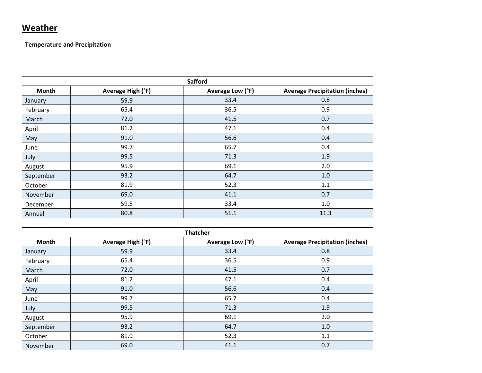## **Weather**

**Temperature and Precipitation**

| <b>Safford</b> |                   |                  |                                       |
|----------------|-------------------|------------------|---------------------------------------|
| Month          | Average High (°F) | Average Low (°F) | <b>Average Precipitation (inches)</b> |
| January        | 59.9              | 33.4             | 0.8                                   |
| February       | 65.4              | 36.5             | 0.9                                   |
| March          | 72.0              | 41.5             | 0.7                                   |
| April          | 81.2              | 47.1             | 0.4                                   |
| May            | 91.0              | 56.6             | 0.4                                   |
| June           | 99.7              | 65.7             | 0.4                                   |
| July           | 99.5              | 71.3             | 1.9                                   |
| August         | 95.9              | 69.1             | 2.0                                   |
| September      | 93.2              | 64.7             | 1.0                                   |
| October        | 81.9              | 52.3             | 1.1                                   |
| November       | 69.0              | 41.1             | 0.7                                   |
| December       | 59.5              | 33.4             | 1.0                                   |
| Annual         | 80.8              | 51.1             | 11.3                                  |

| <b>Thatcher</b> |                   |                  |                                       |
|-----------------|-------------------|------------------|---------------------------------------|
| <b>Month</b>    | Average High (°F) | Average Low (°F) | <b>Average Precipitation (inches)</b> |
| January         | 59.9              | 33.4             | 0.8                                   |
| February        | 65.4              | 36.5             | 0.9                                   |
| March           | 72.0              | 41.5             | 0.7                                   |
| April           | 81.2              | 47.1             | 0.4                                   |
| May             | 91.0              | 56.6             | 0.4                                   |
| June            | 99.7              | 65.7             | 0.4                                   |
| July            | 99.5              | 71.3             | 1.9                                   |
| August          | 95.9              | 69.1             | 2.0                                   |
| September       | 93.2              | 64.7             | 1.0                                   |
| October         | 81.9              | 52.3             | 1.1                                   |
| November        | 69.0              | 41.1             | 0.7                                   |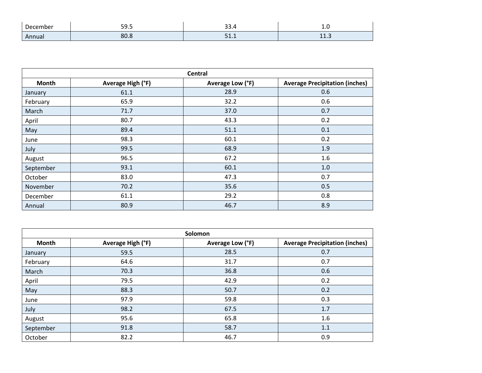| December     | - - - - -<br>$  -$ | 55.4<br>$ -$   | $\sim$         |
|--------------|--------------------|----------------|----------------|
| <b>Annua</b> | C.                 | $\overline{ }$ | $\overline{A}$ |
|              | 80.O               | ---            | <b></b>        |

| Central      |                   |                  |                                       |
|--------------|-------------------|------------------|---------------------------------------|
| <b>Month</b> | Average High (°F) | Average Low (°F) | <b>Average Precipitation (inches)</b> |
| January      | 61.1              | 28.9             | 0.6                                   |
| February     | 65.9              | 32.2             | 0.6                                   |
| March        | 71.7              | 37.0             | 0.7                                   |
| April        | 80.7              | 43.3             | 0.2                                   |
| May          | 89.4              | 51.1             | 0.1                                   |
| June         | 98.3              | 60.1             | 0.2                                   |
| July         | 99.5              | 68.9             | 1.9                                   |
| August       | 96.5              | 67.2             | 1.6                                   |
| September    | 93.1              | 60.1             | 1.0                                   |
| October      | 83.0              | 47.3             | 0.7                                   |
| November     | 70.2              | 35.6             | 0.5                                   |
| December     | 61.1              | 29.2             | 0.8                                   |
| Annual       | 80.9              | 46.7             | 8.9                                   |

| Solomon   |                   |                  |                                       |
|-----------|-------------------|------------------|---------------------------------------|
| Month     | Average High (°F) | Average Low (°F) | <b>Average Precipitation (inches)</b> |
| January   | 59.5              | 28.5             | 0.7                                   |
| February  | 64.6              | 31.7             | 0.7                                   |
| March     | 70.3              | 36.8             | 0.6                                   |
| April     | 79.5              | 42.9             | 0.2                                   |
| May       | 88.3              | 50.7             | 0.2                                   |
| June      | 97.9              | 59.8             | 0.3                                   |
| July      | 98.2              | 67.5             | 1.7                                   |
| August    | 95.6              | 65.8             | 1.6                                   |
| September | 91.8              | 58.7             | 1.1                                   |
| October   | 82.2              | 46.7             | 0.9                                   |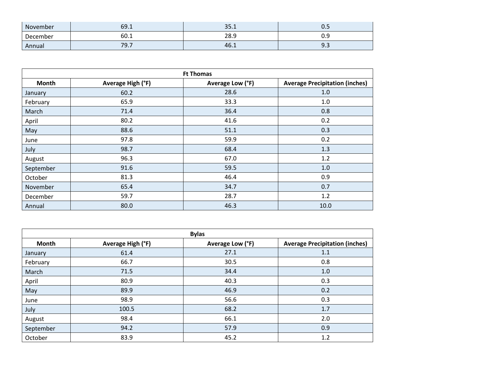| November | 69.1 | 25<br>⊥.ر ر | U.J       |
|----------|------|-------------|-----------|
| December | 60.1 | 28.9        | J         |
| Annual   | 79.7 | 46.1        | Q.<br>ر.ر |

| <b>Ft Thomas</b> |                   |                  |                                       |
|------------------|-------------------|------------------|---------------------------------------|
| Month            | Average High (°F) | Average Low (°F) | <b>Average Precipitation (inches)</b> |
| January          | 60.2              | 28.6             | 1.0                                   |
| February         | 65.9              | 33.3             | 1.0                                   |
| March            | 71.4              | 36.4             | 0.8                                   |
| April            | 80.2              | 41.6             | 0.2                                   |
| May              | 88.6              | 51.1             | 0.3                                   |
| June             | 97.8              | 59.9             | 0.2                                   |
| July             | 98.7              | 68.4             | 1.3                                   |
| August           | 96.3              | 67.0             | 1.2                                   |
| September        | 91.6              | 59.5             | 1.0                                   |
| October          | 81.3              | 46.4             | 0.9                                   |
| November         | 65.4              | 34.7             | 0.7                                   |
| December         | 59.7              | 28.7             | 1.2                                   |
| Annual           | 80.0              | 46.3             | 10.0                                  |

| <b>Bylas</b> |                   |                  |                                       |
|--------------|-------------------|------------------|---------------------------------------|
| <b>Month</b> | Average High (°F) | Average Low (°F) | <b>Average Precipitation (inches)</b> |
| January      | 61.4              | 27.1             | 1.1                                   |
| February     | 66.7              | 30.5             | 0.8                                   |
| March        | 71.5              | 34.4             | 1.0                                   |
| April        | 80.9              | 40.3             | 0.3                                   |
| May          | 89.9              | 46.9             | 0.2                                   |
| June         | 98.9              | 56.6             | 0.3                                   |
| July         | 100.5             | 68.2             | 1.7                                   |
| August       | 98.4              | 66.1             | 2.0                                   |
| September    | 94.2              | 57.9             | 0.9                                   |
| October      | 83.9              | 45.2             | 1.2                                   |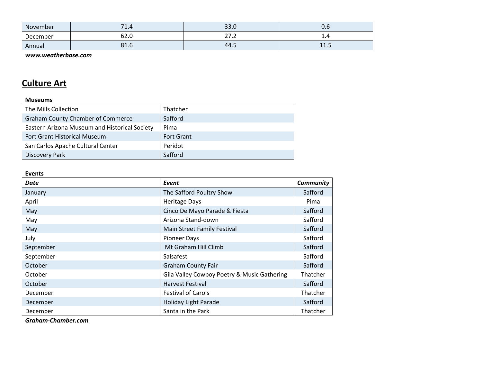| November | $\overline{\phantom{a}}$<br><b>1.4</b> | 33.0                   | v.o       |
|----------|----------------------------------------|------------------------|-----------|
| December | ~~<br>62.U                             | $\sim$ $-$<br>$\sim$ , | ⊥.⊣       |
| Annual   | 81.6                                   | 44.5                   | 11<br>ᆠᆂᇾ |

*[www.weatherbase.com](http://www.weatherbase.com/)*

## **Culture Art**

#### **Museums**

| The Mills Collection                          | Thatcher          |
|-----------------------------------------------|-------------------|
| <b>Graham County Chamber of Commerce</b>      | Safford           |
| Eastern Arizona Museum and Historical Society | Pima              |
| <b>Fort Grant Historical Museum</b>           | <b>Fort Grant</b> |
| San Carlos Apache Cultural Center             | Peridot           |
| <b>Discovery Park</b>                         | Safford           |

#### **Events**

| Date      | Event                                       | <b>Community</b> |
|-----------|---------------------------------------------|------------------|
| January   | The Safford Poultry Show                    | Safford          |
| April     | <b>Heritage Days</b>                        | Pima             |
| May       | Cinco De Mayo Parade & Fiesta               | Safford          |
| May       | Arizona Stand-down                          | Safford          |
| May       | Main Street Family Festival                 | Safford          |
| July      | <b>Pioneer Days</b>                         | Safford          |
| September | Mt Graham Hill Climb                        | Safford          |
| September | Salsafest                                   | Safford          |
| October   | <b>Graham County Fair</b>                   | Safford          |
| October   | Gila Valley Cowboy Poetry & Music Gathering | Thatcher         |
| October   | Harvest Festival                            | Safford          |
| December  | <b>Festival of Carols</b>                   | Thatcher         |
| December  | <b>Holiday Light Parade</b>                 | Safford          |
| December  | Santa in the Park                           | Thatcher         |

*Graham-Chamber.com*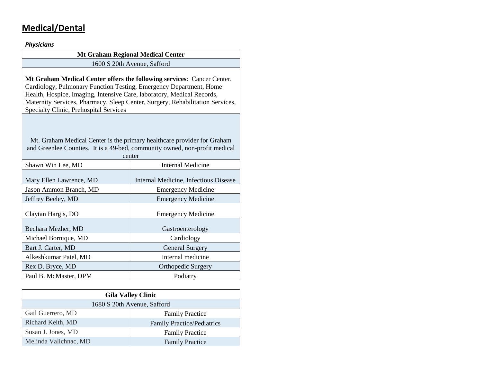# **Medical/Dental**

*Physicians*

| <b>Mt Graham Regional Medical Center</b>                                                                                                                                                                                                                                                                                                          |                                                                    |  |  |
|---------------------------------------------------------------------------------------------------------------------------------------------------------------------------------------------------------------------------------------------------------------------------------------------------------------------------------------------------|--------------------------------------------------------------------|--|--|
| 1600 S 20th Avenue, Safford                                                                                                                                                                                                                                                                                                                       |                                                                    |  |  |
| Mt Graham Medical Center offers the following services: Cancer Center,<br>Cardiology, Pulmonary Function Testing, Emergency Department, Home<br>Health, Hospice, Imaging, Intensive Care, laboratory, Medical Records,<br>Maternity Services, Pharmacy, Sleep Center, Surgery, Rehabilitation Services,<br>Specialty Clinic, Prehospital Services |                                                                    |  |  |
| Mt. Graham Medical Center is the primary healthcare provider for Graham<br>and Greenlee Counties. It is a 49-bed, community owned, non-profit medical<br>center                                                                                                                                                                                   |                                                                    |  |  |
| <b>Internal Medicine</b><br>Shawn Win Lee, MD                                                                                                                                                                                                                                                                                                     |                                                                    |  |  |
| Mary Ellen Lawrence, MD<br>Jason Ammon Branch, MD                                                                                                                                                                                                                                                                                                 | Internal Medicine, Infectious Disease<br><b>Emergency Medicine</b> |  |  |
| Jeffrey Beeley, MD                                                                                                                                                                                                                                                                                                                                | <b>Emergency Medicine</b>                                          |  |  |
| Claytan Hargis, DO                                                                                                                                                                                                                                                                                                                                | <b>Emergency Medicine</b>                                          |  |  |
| Bechara Mezher, MD                                                                                                                                                                                                                                                                                                                                | Gastroenterology                                                   |  |  |
| Michael Bornique, MD                                                                                                                                                                                                                                                                                                                              | Cardiology                                                         |  |  |
| Bart J. Carter, MD                                                                                                                                                                                                                                                                                                                                | <b>General Surgery</b>                                             |  |  |
| Alkeshkumar Patel, MD                                                                                                                                                                                                                                                                                                                             | Internal medicine                                                  |  |  |
| Rex D. Bryce, MD                                                                                                                                                                                                                                                                                                                                  | Orthopedic Surgery                                                 |  |  |
| Paul B. McMaster, DPM<br>Podiatry                                                                                                                                                                                                                                                                                                                 |                                                                    |  |  |
|                                                                                                                                                                                                                                                                                                                                                   |                                                                    |  |  |

| <b>Gila Valley Clinic</b>   |                                   |  |
|-----------------------------|-----------------------------------|--|
| 1680 S 20th Avenue, Safford |                                   |  |
| Gail Guerrero, MD           | <b>Family Practice</b>            |  |
| Richard Keith, MD           | <b>Family Practice/Pediatrics</b> |  |
| Susan J. Jones, MD          | <b>Family Practice</b>            |  |
| Melinda Valichnac, MD       | <b>Family Practice</b>            |  |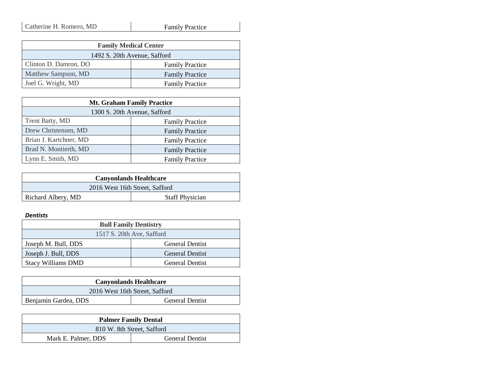| <b>Family Medical Center</b> |                        |  |
|------------------------------|------------------------|--|
| 1492 S. 20th Avenue, Safford |                        |  |
| Clinton D. Damron, DO        | <b>Family Practice</b> |  |
| Matthew Sampson, MD          | <b>Family Practice</b> |  |
| Joel G. Wright, MD           | <b>Family Practice</b> |  |

| <b>Mt. Graham Family Practice</b> |                        |  |
|-----------------------------------|------------------------|--|
| 1300 S. 20th Avenue, Safford      |                        |  |
| Trent Batty, MD                   | <b>Family Practice</b> |  |
| Drew Christensen, MD              | <b>Family Practice</b> |  |
| Brian J. Kartchner, MD            | <b>Family Practice</b> |  |
| Brad N. Montierth, MD             | <b>Family Practice</b> |  |
| Lynn E. Smith, MD                 | <b>Family Practice</b> |  |

| <b>Canyonlands Healthcare</b>  |                        |  |
|--------------------------------|------------------------|--|
| 2016 West 16th Street, Safford |                        |  |
| Richard Albery, MD             | <b>Staff Physician</b> |  |

#### *Dentists*

| <b>Bull Family Dentistry</b> |                        |  |
|------------------------------|------------------------|--|
| 1517 S. 20th Ave, Safford    |                        |  |
| Joseph M. Bull, DDS          | <b>General Dentist</b> |  |
| Joseph J. Bull, DDS          | <b>General Dentist</b> |  |
| <b>Stacy Williams DMD</b>    | <b>General Dentist</b> |  |

| <b>Canyonlands Healthcare</b>                  |  |  |
|------------------------------------------------|--|--|
| 2016 West 16th Street, Safford                 |  |  |
| Benjamin Gardea, DDS<br><b>General Dentist</b> |  |  |

| <b>Palmer Family Dental</b> |                        |  |
|-----------------------------|------------------------|--|
| 810 W. 8th Street, Safford  |                        |  |
| Mark E. Palmer, DDS         | <b>General Dentist</b> |  |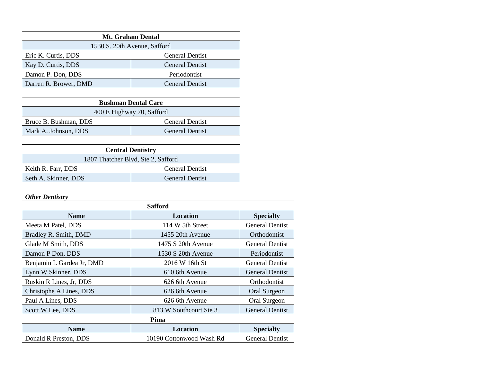| <b>Mt. Graham Dental</b>     |                        |  |
|------------------------------|------------------------|--|
| 1530 S. 20th Avenue, Safford |                        |  |
| Eric K. Curtis, DDS          | <b>General Dentist</b> |  |
| Kay D. Curtis, DDS           | <b>General Dentist</b> |  |
| Damon P. Don, DDS            | Periodontist           |  |
| Darren R. Brower, DMD        | <b>General Dentist</b> |  |

| <b>Bushman Dental Care</b>                      |                        |  |
|-------------------------------------------------|------------------------|--|
| 400 E Highway 70, Safford                       |                        |  |
| <b>General Dentist</b><br>Bruce B. Bushman, DDS |                        |  |
| Mark A. Johnson, DDS                            | <b>General Dentist</b> |  |

| <b>Central Dentistry</b>           |                        |  |
|------------------------------------|------------------------|--|
| 1807 Thatcher Blvd, Ste 2, Safford |                        |  |
| Keith R. Farr, DDS                 | <b>General Dentist</b> |  |
| Seth A. Skinner, DDS               | <b>General Dentist</b> |  |

#### *Other Dentistry*

| <b>Safford</b>            |                          |                        |
|---------------------------|--------------------------|------------------------|
| <b>Name</b>               | <b>Location</b>          | <b>Specialty</b>       |
| Meeta M Patel, DDS        | 114 W 5th Street         | <b>General Dentist</b> |
| Bradley R. Smith, DMD     | 1455 20th Avenue         | Orthodontist           |
| Glade M Smith, DDS        | 1475 S 20th Avenue       | <b>General Dentist</b> |
| Damon P Don, DDS          | 1530 S 20th Avenue       | Periodontist           |
| Benjamin L Gardea Jr, DMD | 2016 W 16th St           | <b>General Dentist</b> |
| Lynn W Skinner, DDS       | 610 6th Avenue           | <b>General Dentist</b> |
| Ruskin R Lines, Jr, DDS   | 626 6th Avenue           | Orthodontist           |
| Christophe A Lines, DDS   | 626 6th Avenue           | Oral Surgeon           |
| Paul A Lines, DDS         | 626 6th Avenue           | Oral Surgeon           |
| Scott W Lee, DDS          | 813 W Southcourt Ste 3   | <b>General Dentist</b> |
| Pima                      |                          |                        |
| <b>Name</b>               | Location                 | <b>Specialty</b>       |
| Donald R Preston, DDS     | 10190 Cottonwood Wash Rd | <b>General Dentist</b> |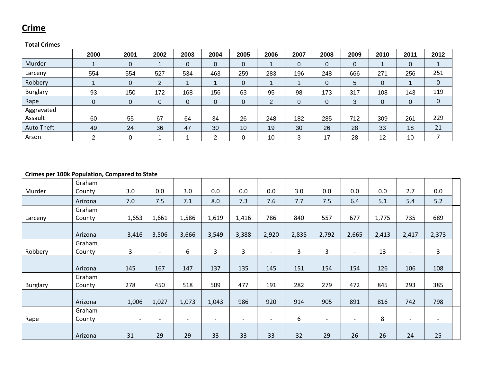### **Crime**

### **Total Crimes**

|                 | 2000         | 2001           | 2002     | 2003        | 2004           | 2005         | 2006 | 2007 | 2008     | 2009 | 2010 | 2011 | 2012        |
|-----------------|--------------|----------------|----------|-------------|----------------|--------------|------|------|----------|------|------|------|-------------|
| Murder          |              | $\mathbf 0$    |          | 0           | $\overline{0}$ | 0            |      | 0    | 0        | 0    |      | 0    |             |
| Larceny         | 554          | 554            | 527      | 534         | 463            | 259          | 283  | 196  | 248      | 666  | 271  | 256  | 251         |
| Robbery         |              | $\overline{0}$ | ົ        |             |                | $\mathbf{0}$ |      |      | $\Omega$ | 5    | 0    |      | 0           |
| <b>Burglary</b> | 93           | 150            | 172      | 168         | 156            | 63           | 95   | 98   | 173      | 317  | 108  | 143  | 119         |
| Rape            | $\mathbf{0}$ | $\mathbf 0$    | $\Omega$ | $\mathbf 0$ | $\overline{0}$ | $\mathbf{0}$ | ◠    | 0    |          | 3    | 0    |      | $\mathbf 0$ |
| Aggravated      |              |                |          |             |                |              |      |      |          |      |      |      |             |
| Assault         | 60           | 55             | 67       | 64          | 34             | 26           | 248  | 182  | 285      | 712  | 309  | 261  | 229         |
| Auto Theft      | 49           | 24             | 36       | 47          | 30             | 10           | 19   | 30   | 26       | 28   | 33   | 18   | 21          |
| Arson           | ົ            | $\Omega$       |          |             | ⌒              |              | 10   | 3    | 17       | 28   | 12   | 10   |             |

#### **Crimes per 100k Population, Compared to State**

| Murder          | Graham<br>County | 3.0                      | 0.0                      | 3.0                      | 0.0                      | 0.0                      | 0.0                      | 3.0   | 0.0                      | 0.0                      | 0.0   | 2.7                      | 0.0                      |
|-----------------|------------------|--------------------------|--------------------------|--------------------------|--------------------------|--------------------------|--------------------------|-------|--------------------------|--------------------------|-------|--------------------------|--------------------------|
|                 |                  |                          |                          |                          |                          |                          |                          |       |                          |                          |       |                          |                          |
|                 | Arizona          | 7.0                      | 7.5                      | 7.1                      | 8.0                      | 7.3                      | 7.6                      | 7.7   | 7.5                      | 6.4                      | 5.1   | 5.4                      | 5.2                      |
|                 | Graham           |                          |                          |                          |                          |                          |                          |       |                          |                          |       |                          |                          |
| Larceny         | County           | 1,653                    | 1,661                    | 1,586                    | 1,619                    | 1,416                    | 786                      | 840   | 557                      | 677                      | 1,775 | 735                      | 689                      |
|                 |                  |                          |                          |                          |                          |                          |                          |       |                          |                          |       |                          |                          |
|                 | Arizona          | 3,416                    | 3,506                    | 3,666                    | 3,549                    | 3,388                    | 2,920                    | 2,835 | 2,792                    | 2,665                    | 2,413 | 2,417                    | 2,373                    |
|                 | Graham           |                          |                          |                          |                          |                          |                          |       |                          |                          |       |                          |                          |
| Robbery         | County           | 3                        | $\overline{\phantom{a}}$ | 6                        | 3                        | $\mathbf{3}$             | $\overline{\phantom{a}}$ | 3     | $\mathbf{3}$             | $\overline{\phantom{a}}$ | 13    | $\overline{\phantom{a}}$ | $\mathbf{3}$             |
|                 |                  |                          |                          |                          |                          |                          |                          |       |                          |                          |       |                          |                          |
|                 | Arizona          | 145                      | 167                      | 147                      | 137                      | 135                      | 145                      | 151   | 154                      | 154                      | 126   | 106                      | 108                      |
|                 | Graham           |                          |                          |                          |                          |                          |                          |       |                          |                          |       |                          |                          |
| <b>Burglary</b> | County           | 278                      | 450                      | 518                      | 509                      | 477                      | 191                      | 282   | 279                      | 472                      | 845   | 293                      | 385                      |
|                 |                  |                          |                          |                          |                          |                          |                          |       |                          |                          |       |                          |                          |
|                 | Arizona          | 1,006                    | 1,027                    | 1,073                    | 1,043                    | 986                      | 920                      | 914   | 905                      | 891                      | 816   | 742                      | 798                      |
|                 | Graham           |                          |                          |                          |                          |                          |                          |       |                          |                          |       |                          |                          |
| Rape            | County           | $\overline{\phantom{0}}$ | $\overline{\phantom{a}}$ | $\overline{\phantom{a}}$ | $\overline{\phantom{0}}$ | $\overline{\phantom{a}}$ | $\overline{\phantom{a}}$ | 6     | $\overline{\phantom{a}}$ | $\overline{\phantom{a}}$ | 8     | $\overline{\phantom{a}}$ | $\overline{\phantom{a}}$ |
|                 |                  |                          |                          |                          |                          |                          |                          |       |                          |                          |       |                          |                          |
|                 | Arizona          | 31                       | 29                       | 29                       | 33                       | 33                       | 33                       | 32    | 29                       | 26                       | 26    | 24                       | 25                       |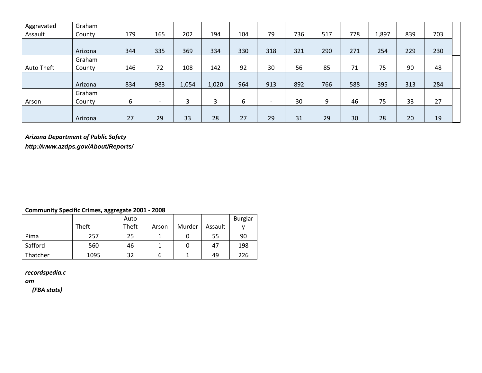| Aggravated | Graham  |     |                          |       |       |     |                          |     |     |     |       |     |     |  |
|------------|---------|-----|--------------------------|-------|-------|-----|--------------------------|-----|-----|-----|-------|-----|-----|--|
| Assault    | County  | 179 | 165                      | 202   | 194   | 104 | 79                       | 736 | 517 | 778 | 1,897 | 839 | 703 |  |
|            |         |     |                          |       |       |     |                          |     |     |     |       |     |     |  |
|            | Arizona | 344 | 335                      | 369   | 334   | 330 | 318                      | 321 | 290 | 271 | 254   | 229 | 230 |  |
|            | Graham  |     |                          |       |       |     |                          |     |     |     |       |     |     |  |
| Auto Theft | County  | 146 | 72                       | 108   | 142   | 92  | 30                       | 56  | 85  | 71  | 75    | 90  | 48  |  |
|            |         |     |                          |       |       |     |                          |     |     |     |       |     |     |  |
|            | Arizona | 834 | 983                      | 1,054 | 1,020 | 964 | 913                      | 892 | 766 | 588 | 395   | 313 | 284 |  |
|            | Graham  |     |                          |       |       |     |                          |     |     |     |       |     |     |  |
| Arson      | County  | 6   | $\overline{\phantom{a}}$ | 3     | 3     | 6   | $\overline{\phantom{a}}$ | 30  | 9   | 46  | 75    | 33  | 27  |  |
|            |         |     |                          |       |       |     |                          |     |     |     |       |     |     |  |
|            | Arizona | 27  | 29                       | 33    | 28    | 27  | 29                       | 31  | 29  | 30  | 28    | 20  | 19  |  |

### *Arizona Department of Public Safety*

*http://www.azdps.gov/About/Reports/*

### **Community Specific Crimes, aggregate 2001 - 2008**

|          |       | Auto  |       |        |         | <b>Burglar</b> |
|----------|-------|-------|-------|--------|---------|----------------|
|          | Theft | Theft | Arson | Murder | Assault |                |
| Pima     | 257   | 25    |       |        | 55      | 90             |
| Safford  | 560   | 46    |       |        | 47      | 198            |
| Thatcher | 1095  | 32    | b     |        | 49      | 226            |

### *recordspedia.c*

*om*

*(FBA stats)*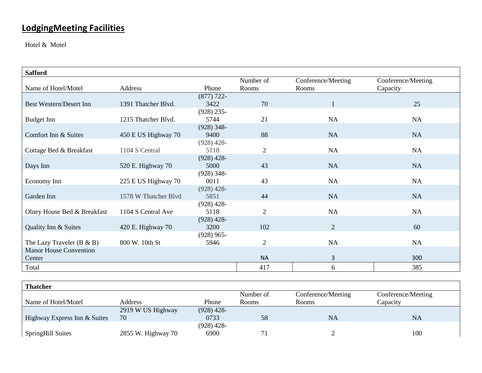# **LodgingMeeting Facilities**

Hotel & Motel

| <b>Safford</b>                 |                      |              |                |                    |                    |
|--------------------------------|----------------------|--------------|----------------|--------------------|--------------------|
|                                |                      |              | Number of      | Conference/Meeting | Conference/Meeting |
| Name of Hotel/Motel            | Address              | Phone        | Rooms          | Rooms              | Capacity           |
|                                |                      | $(877)$ 722- |                |                    |                    |
| <b>Best Western/Desert Inn</b> | 1391 Thatcher Blvd.  | 3422         | 70             | 1                  | 25                 |
|                                |                      | $(928)$ 235- |                |                    |                    |
| Budget Inn                     | 1215 Thatcher Blvd.  | 5744         | 21             | <b>NA</b>          | NA                 |
|                                |                      | $(928)$ 348- |                |                    |                    |
| Comfort Inn & Suites           | 450 E US Highway 70  | 9400         | 88             | <b>NA</b>          | <b>NA</b>          |
|                                |                      | $(928)$ 428- |                |                    |                    |
| Cottage Bed & Breakfast        | 1104 S Central       | 5118         | $\overline{2}$ | <b>NA</b>          | <b>NA</b>          |
|                                |                      | $(928)$ 428- |                |                    |                    |
| Days Inn                       | 520 E. Highway 70    | 5000         | 43             | <b>NA</b>          | <b>NA</b>          |
|                                |                      | $(928)$ 348- |                |                    |                    |
| Economy Inn                    | 225 E US Highway 70  | 0011         | 43             | <b>NA</b>          | <b>NA</b>          |
|                                |                      | $(928)$ 428- |                |                    |                    |
| Garden Inn                     | 1578 W Thatcher Blvd | 5851         | 44             | <b>NA</b>          | <b>NA</b>          |
|                                |                      | $(928)$ 428- |                |                    |                    |
| Olney House Bed & Breakfast    | 1104 S Central Ave   | 5118         | $\overline{2}$ | <b>NA</b>          | <b>NA</b>          |
|                                |                      | $(928)$ 428- |                |                    |                    |
| Quality Inn & Suites           | 420 E. Highway 70    | 3200         | 102            | 2                  | 60                 |
|                                |                      | $(928)$ 965- |                |                    |                    |
| The Lazy Traveler $(B & B)$    | 800 W. 10th St       | 5946         | $\mathbf{2}$   | <b>NA</b>          | <b>NA</b>          |
| <b>Manor House Convention</b>  |                      |              |                |                    |                    |
| Center                         |                      |              | <b>NA</b>      | 3                  | 300                |
| Total                          |                      |              | 417            | 6                  | 385                |

| <b>Thatcher</b>              |                    |              |           |                    |                    |
|------------------------------|--------------------|--------------|-----------|--------------------|--------------------|
|                              |                    |              | Number of | Conference/Meeting | Conference/Meeting |
| Name of Hotel/Motel          | <b>Address</b>     | Phone        | Rooms     | Rooms              | Capacity           |
|                              | 2919 W US Highway  | $(928)$ 428- |           |                    |                    |
| Highway Express Inn & Suites | 70                 | 0733         | 58        | <b>NA</b>          | NA                 |
|                              |                    | $(928)$ 428- |           |                    |                    |
| <b>SpringHill Suites</b>     | 2855 W. Highway 70 | 6900         |           |                    | 100                |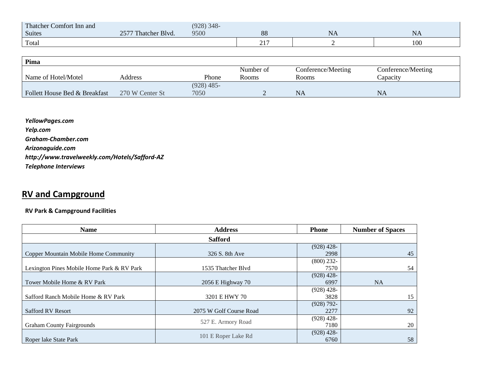| Thatcher C<br>: Comfort Inn and |                                                               | $(928)$ 348- |                             |    |     |
|---------------------------------|---------------------------------------------------------------|--------------|-----------------------------|----|-----|
| Suites                          | $2577$ TL<br>· Blvd.<br>I hatcher<br>$\overline{\phantom{m}}$ | 9500         | 88                          | NA | 15A |
| Total                           |                                                               |              | $\sim$ 1 $\sim$<br>$\sim$ 1 |    | 100 |

| Pima                          |                 |              |           |                    |                    |
|-------------------------------|-----------------|--------------|-----------|--------------------|--------------------|
|                               |                 |              | Number of | Conference/Meeting | Conference/Meeting |
| Name of Hotel/Motel           | Address         | Phone        | Rooms     | Rooms              | Capacity           |
|                               |                 | $(928)$ 485- |           |                    |                    |
| Follett House Bed & Breakfast | 270 W Center St | 7050         |           | NA                 | NA                 |

*YellowPages.com Yelp.com Graham-Chamber.com Arizonaguide.com http://www.travelweekly.com/Hotels/Safford-AZ Telephone Interviews*

## **RV and Campground**

#### **RV Park & Campground Facilities**

| <b>Name</b>                                | <b>Address</b>          | <b>Phone</b>          | <b>Number of Spaces</b> |
|--------------------------------------------|-------------------------|-----------------------|-------------------------|
|                                            | <b>Safford</b>          |                       |                         |
| Copper Mountain Mobile Home Community      | 326 S. 8th Ave          | $(928)$ 428-<br>2998  | 45                      |
| Lexington Pines Mobile Home Park & RV Park | 1535 Thatcher Blvd      | $(800)$ 232-<br>7570  | 54                      |
| Tower Mobile Home & RV Park                | $2056$ E Highway 70     | $(928)$ 428-<br>6997  | <b>NA</b>               |
| Safford Ranch Mobile Home & RV Park        | 3201 E HWY 70           | $(928)$ 428-<br>3828  | 15                      |
| <b>Safford RV Resort</b>                   | 2075 W Golf Course Road | $(928) 792 -$<br>2277 | 92                      |
| <b>Graham County Fairgrounds</b>           | 527 E. Armory Road      | $(928)$ 428-<br>7180  | 20                      |
| Roper lake State Park                      | 101 E Roper Lake Rd     | $(928)$ 428-<br>6760  | 58                      |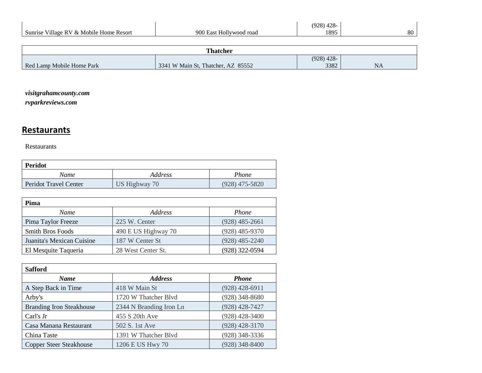|                                            |                            | $428-$<br>(928)<br>┱∠с |    |
|--------------------------------------------|----------------------------|------------------------|----|
| Village RV & Mobile Home Resort<br>Sunrise | 900 East<br>Hollywood road | 1895                   | 80 |
|                                            |                            |                        |    |

| <b>Thatcher</b>           |                                    |              |           |  |  |  |  |
|---------------------------|------------------------------------|--------------|-----------|--|--|--|--|
|                           |                                    | $(928)$ 428- |           |  |  |  |  |
| Red Lamp Mobile Home Park | 3341 W Main St, Thatcher, AZ 85552 | 3382         | <b>NA</b> |  |  |  |  |

### *visitgrahamcounty.com*

*rvparkreviews.com*

## **Restaurants**

Restaurants

| Peridot               |               |                  |  |  |  |  |  |  |
|-----------------------|---------------|------------------|--|--|--|--|--|--|
| Name                  | Address       | Phone            |  |  |  |  |  |  |
| Peridot Travel Center | US Highway 70 | $(928)$ 475-5820 |  |  |  |  |  |  |

| Pima                      |                     |                  |
|---------------------------|---------------------|------------------|
| Name                      | Address             | <i>Phone</i>     |
| Pima Taylor Freeze        | 225 W. Center       | $(928)$ 485-2661 |
| <b>Smith Bros Foods</b>   | 490 E US Highway 70 | $(928)$ 485-9370 |
| Juanita's Mexican Cuisine | 187 W Center St     | $(928)$ 485-2240 |
| El Mesquite Taqueria      | 28 West Center St.  | (928) 322-0594   |

| <b>Safford</b>                  |                         |                  |  |
|---------------------------------|-------------------------|------------------|--|
| <b>Name</b>                     | <b>Address</b>          | <b>Phone</b>     |  |
| A Step Back in Time             | 418 W Main St           | $(928)$ 428-6911 |  |
| Arby's                          | 1720 W Thatcher Blvd    | $(928)$ 348-8680 |  |
| <b>Branding Iron Steakhouse</b> | 2344 N Branding Iron Ln | $(928)$ 428-7427 |  |
| Carl's Jr                       | 455 S 20th Ave          | $(928)$ 428-3400 |  |
| Casa Manana Restaurant          | 502 S. 1st Ave          | $(928)$ 428-3170 |  |
| China Taste                     | 1391 W Thatcher Blvd    | $(928)$ 348-3336 |  |
| <b>Copper Steer Steakhouse</b>  | 1206 E US Hwy 70        | $(928)$ 348-8400 |  |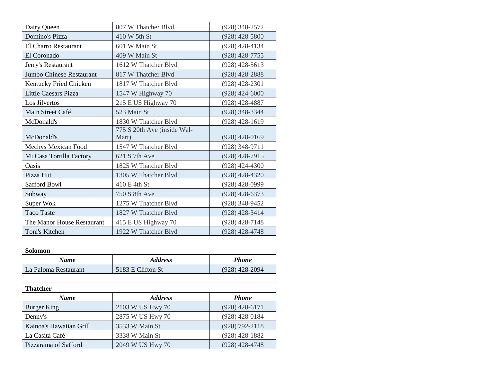| Dairy Queen                 | 807 W Thatcher Blyd                  | $(928)$ 348-2572 |
|-----------------------------|--------------------------------------|------------------|
| Domino's Pizza              | 410 W 5th St                         | $(928)$ 428-5800 |
| El Charro Restaurant        | 601 W Main St                        | $(928)$ 428-4134 |
| El Coronado                 | 409 W Main St                        | $(928)$ 428-7755 |
| Jerry's Restaurant          | 1612 W Thatcher Blvd                 | $(928)$ 428-5613 |
| Jumbo Chinese Restaurant    | 817 W Thatcher Blvd                  | $(928)$ 428-2888 |
| Kentucky Fried Chicken      | 1817 W Thatcher Blvd                 | $(928)$ 428-2301 |
| <b>Little Caesars Pizza</b> | 1547 W Highway 70                    | $(928)$ 424-6000 |
| Los Jilvertos               | 215 E US Highway 70                  | $(928)$ 428-4887 |
| Main Street Café            | 523 Main St                          | $(928)$ 348-3344 |
| McDonald's                  | 1830 W Thatcher Blvd                 | $(928)$ 428-1619 |
| McDonald's                  | 775 S 20th Ave (inside Wal-<br>Mart) | $(928)$ 428-0169 |
| Mechys Mexican Food         | 1547 W Thatcher Blvd                 | $(928)$ 348-9711 |
| Mi Casa Tortilla Factory    | 621 S 7th Ave                        | $(928)$ 428-7915 |
| Oasis                       | 1825 W Thatcher Blvd                 | $(928)$ 424-4300 |
| Pizza Hut                   | 1305 W Thatcher Blvd                 | (928) 428-4320   |
| Safford Bowl                | 410 E 4th St                         | $(928)$ 428-0999 |
| Subway                      | 750 S 8th Ave                        | $(928)$ 428-6373 |
| Super Wok                   | 1275 W Thatcher Blyd                 | $(928)$ 348-9452 |
| <b>Taco Taste</b>           | 1827 W Thatcher Blvd                 | $(928)$ 428-3414 |
| The Manor House Restaurant  | 415 E US Highway 70                  | $(928)$ 428-7148 |
| Toni's Kitchen              | 1922 W Thatcher Blyd                 | $(928)$ 428-4748 |

| <b>Solomon</b>       |                       |                  |
|----------------------|-----------------------|------------------|
| Name                 | <i><b>Address</b></i> | <b>Phone</b>     |
| La Paloma Restaurant | 5183 E Clifton St     | $(928)$ 428-2094 |

| <b>Thatcher</b>         |                  |                    |  |
|-------------------------|------------------|--------------------|--|
| <b>Name</b>             | <b>Address</b>   | <b>Phone</b>       |  |
| Burger King             | 2103 W US Hwy 70 | $(928)$ 428-6171   |  |
| Denny's                 | 2875 W US Hwy 70 | $(928)$ 428-0184   |  |
| Kainoa's Hawaiian Grill | 3533 W Main St   | $(928) 792 - 2118$ |  |
| La Casita Café          | 3338 W Main St   | $(928)$ 428-1882   |  |
| Pizzarama of Safford    | 2049 W US Hwy 70 | $(928)$ 428-4748   |  |